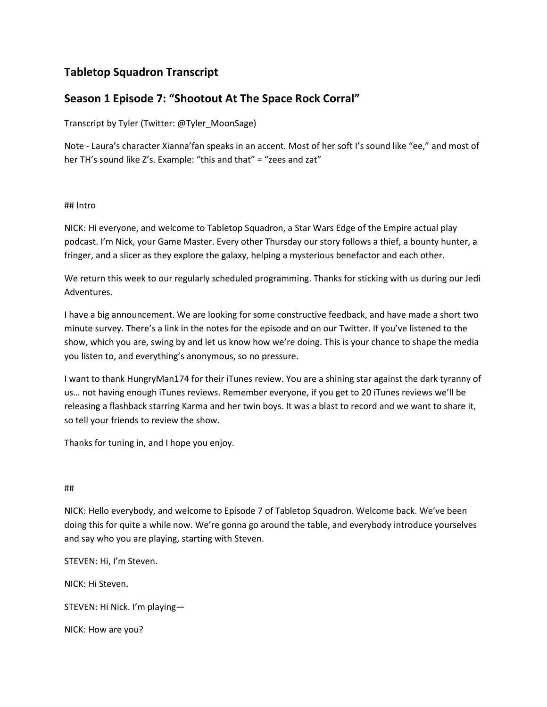# Tabletop Squadron Transcript

# Season 1 Episode 7: "Shootout At The Space Rock Corral"

Transcript by Tyler (Twitter: @Tyler\_MoonSage)

Note - Laura's character Xianna'fan speaks in an accent. Most of her soft I's sound like "ee," and most of her TH's sound like Z's. Example: "this and that" = "zees and zat"

## ## Intro

NICK: Hi everyone, and welcome to Tabletop Squadron, a Star Wars Edge of the Empire actual play podcast. I'm Nick, your Game Master. Every other Thursday our story follows a thief, a bounty hunter, a fringer, and a slicer as they explore the galaxy, helping a mysterious benefactor and each other.

We return this week to our regularly scheduled programming. Thanks for sticking with us during our Jedi Adventures.

I have a big announcement. We are looking for some constructive feedback, and have made a short two minute survey. There's a link in the notes for the episode and on our Twitter. If you've listened to the show, which you are, swing by and let us know how we're doing. This is your chance to shape the media you listen to, and everything's anonymous, so no pressure.

I want to thank HungryMan174 for their iTunes review. You are a shining star against the dark tyranny of us… not having enough iTunes reviews. Remember everyone, if you get to 20 iTunes reviews we'll be releasing a flashback starring Karma and her twin boys. It was a blast to record and we want to share it, so tell your friends to review the show.

Thanks for tuning in, and I hope you enjoy.

# ##

NICK: Hello everybody, and welcome to Episode 7 of Tabletop Squadron. Welcome back. We've been doing this for quite a while now. We're gonna go around the table, and everybody introduce yourselves and say who you are playing, starting with Steven.

STEVEN: Hi, I'm Steven.

NICK: Hi Steven.

STEVEN: Hi Nick. I'm playing—

NICK: How are you?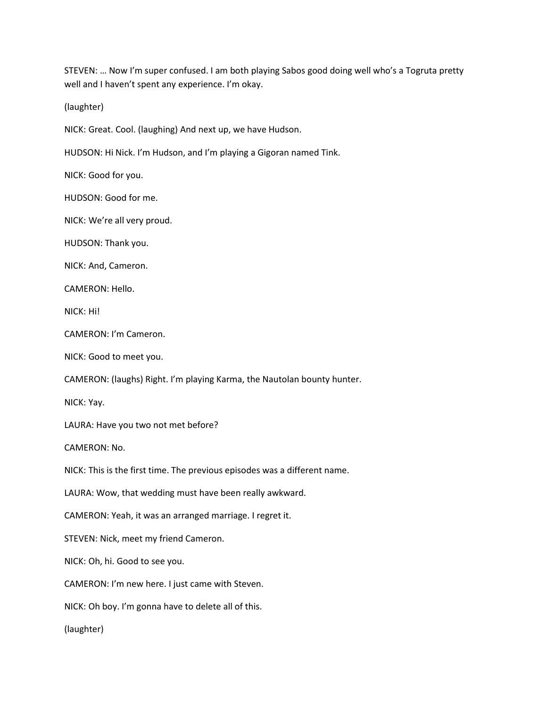STEVEN: … Now I'm super confused. I am both playing Sabos good doing well who's a Togruta pretty well and I haven't spent any experience. I'm okay.

(laughter)

NICK: Great. Cool. (laughing) And next up, we have Hudson.

HUDSON: Hi Nick. I'm Hudson, and I'm playing a Gigoran named Tink.

NICK: Good for you.

HUDSON: Good for me.

NICK: We're all very proud.

HUDSON: Thank you.

NICK: And, Cameron.

CAMERON: Hello.

NICK: Hi!

CAMERON: I'm Cameron.

NICK: Good to meet you.

CAMERON: (laughs) Right. I'm playing Karma, the Nautolan bounty hunter.

NICK: Yay.

LAURA: Have you two not met before?

CAMERON: No.

NICK: This is the first time. The previous episodes was a different name.

LAURA: Wow, that wedding must have been really awkward.

CAMERON: Yeah, it was an arranged marriage. I regret it.

STEVEN: Nick, meet my friend Cameron.

NICK: Oh, hi. Good to see you.

CAMERON: I'm new here. I just came with Steven.

NICK: Oh boy. I'm gonna have to delete all of this.

(laughter)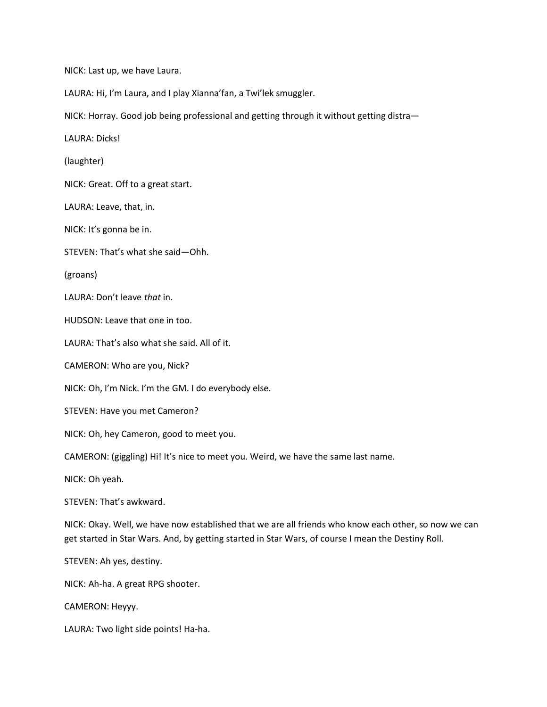NICK: Last up, we have Laura.

LAURA: Hi, I'm Laura, and I play Xianna'fan, a Twi'lek smuggler.

NICK: Horray. Good job being professional and getting through it without getting distra—

LAURA: Dicks!

(laughter)

NICK: Great. Off to a great start.

LAURA: Leave, that, in.

NICK: It's gonna be in.

STEVEN: That's what she said—Ohh.

(groans)

LAURA: Don't leave that in.

HUDSON: Leave that one in too.

LAURA: That's also what she said. All of it.

CAMERON: Who are you, Nick?

NICK: Oh, I'm Nick. I'm the GM. I do everybody else.

STEVEN: Have you met Cameron?

NICK: Oh, hey Cameron, good to meet you.

CAMERON: (giggling) Hi! It's nice to meet you. Weird, we have the same last name.

NICK: Oh yeah.

STEVEN: That's awkward.

NICK: Okay. Well, we have now established that we are all friends who know each other, so now we can get started in Star Wars. And, by getting started in Star Wars, of course I mean the Destiny Roll.

STEVEN: Ah yes, destiny.

NICK: Ah-ha. A great RPG shooter.

CAMERON: Heyyy.

LAURA: Two light side points! Ha-ha.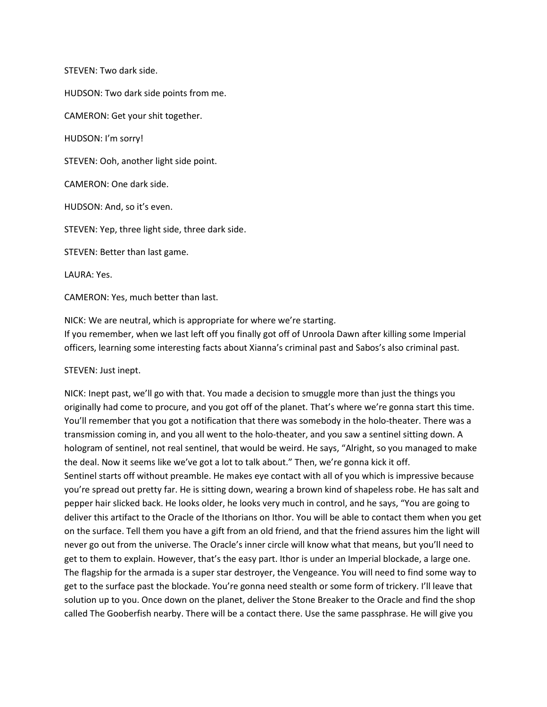STEVEN: Two dark side.

HUDSON: Two dark side points from me.

CAMERON: Get your shit together.

HUDSON: I'm sorry!

STEVEN: Ooh, another light side point.

CAMERON: One dark side.

HUDSON: And, so it's even.

STEVEN: Yep, three light side, three dark side.

STEVEN: Better than last game.

LAURA: Yes.

CAMERON: Yes, much better than last.

NICK: We are neutral, which is appropriate for where we're starting. If you remember, when we last left off you finally got off of Unroola Dawn after killing some Imperial officers, learning some interesting facts about Xianna's criminal past and Sabos's also criminal past.

STEVEN: Just inept.

NICK: Inept past, we'll go with that. You made a decision to smuggle more than just the things you originally had come to procure, and you got off of the planet. That's where we're gonna start this time. You'll remember that you got a notification that there was somebody in the holo-theater. There was a transmission coming in, and you all went to the holo-theater, and you saw a sentinel sitting down. A hologram of sentinel, not real sentinel, that would be weird. He says, "Alright, so you managed to make the deal. Now it seems like we've got a lot to talk about." Then, we're gonna kick it off. Sentinel starts off without preamble. He makes eye contact with all of you which is impressive because you're spread out pretty far. He is sitting down, wearing a brown kind of shapeless robe. He has salt and pepper hair slicked back. He looks older, he looks very much in control, and he says, "You are going to deliver this artifact to the Oracle of the Ithorians on Ithor. You will be able to contact them when you get on the surface. Tell them you have a gift from an old friend, and that the friend assures him the light will never go out from the universe. The Oracle's inner circle will know what that means, but you'll need to get to them to explain. However, that's the easy part. Ithor is under an Imperial blockade, a large one. The flagship for the armada is a super star destroyer, the Vengeance. You will need to find some way to get to the surface past the blockade. You're gonna need stealth or some form of trickery. I'll leave that solution up to you. Once down on the planet, deliver the Stone Breaker to the Oracle and find the shop called The Gooberfish nearby. There will be a contact there. Use the same passphrase. He will give you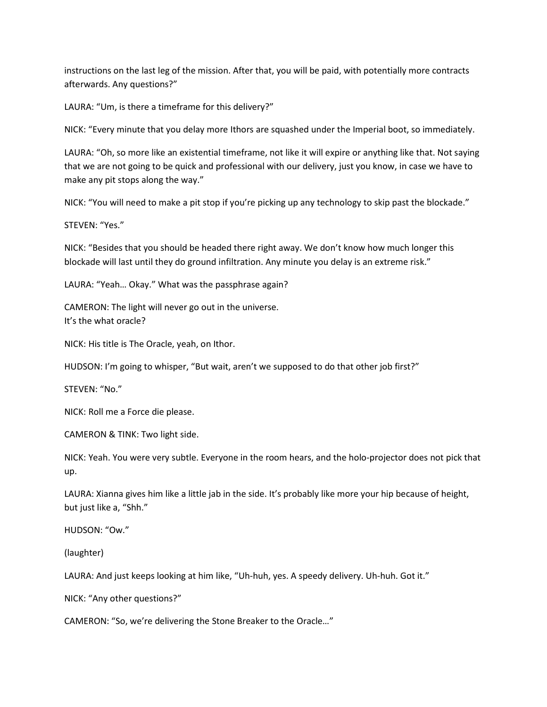instructions on the last leg of the mission. After that, you will be paid, with potentially more contracts afterwards. Any questions?"

LAURA: "Um, is there a timeframe for this delivery?"

NICK: "Every minute that you delay more Ithors are squashed under the Imperial boot, so immediately.

LAURA: "Oh, so more like an existential timeframe, not like it will expire or anything like that. Not saying that we are not going to be quick and professional with our delivery, just you know, in case we have to make any pit stops along the way."

NICK: "You will need to make a pit stop if you're picking up any technology to skip past the blockade."

STEVEN: "Yes."

NICK: "Besides that you should be headed there right away. We don't know how much longer this blockade will last until they do ground infiltration. Any minute you delay is an extreme risk."

LAURA: "Yeah… Okay." What was the passphrase again?

CAMERON: The light will never go out in the universe. It's the what oracle?

NICK: His title is The Oracle, yeah, on Ithor.

HUDSON: I'm going to whisper, "But wait, aren't we supposed to do that other job first?"

STEVEN: "No."

NICK: Roll me a Force die please.

CAMERON & TINK: Two light side.

NICK: Yeah. You were very subtle. Everyone in the room hears, and the holo-projector does not pick that up.

LAURA: Xianna gives him like a little jab in the side. It's probably like more your hip because of height, but just like a, "Shh."

HUDSON: "Ow."

(laughter)

LAURA: And just keeps looking at him like, "Uh-huh, yes. A speedy delivery. Uh-huh. Got it."

NICK: "Any other questions?"

CAMERON: "So, we're delivering the Stone Breaker to the Oracle…"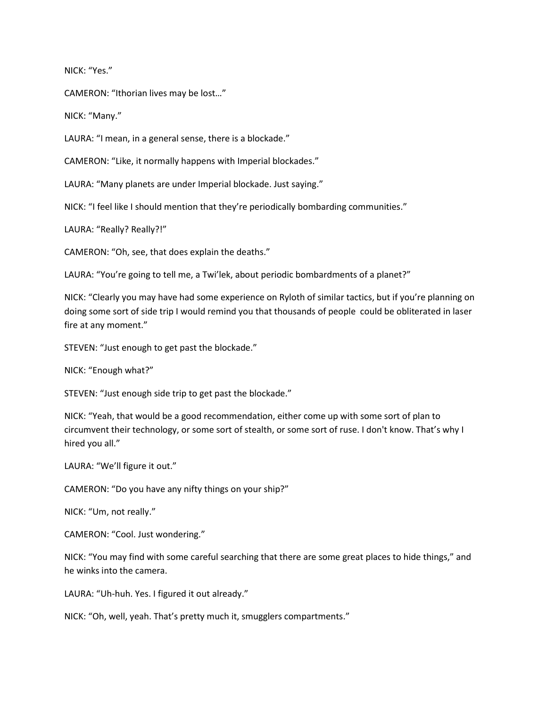NICK: "Yes."

CAMERON: "Ithorian lives may be lost…"

NICK: "Many."

LAURA: "I mean, in a general sense, there is a blockade."

CAMERON: "Like, it normally happens with Imperial blockades."

LAURA: "Many planets are under Imperial blockade. Just saying."

NICK: "I feel like I should mention that they're periodically bombarding communities."

LAURA: "Really? Really?!"

CAMERON: "Oh, see, that does explain the deaths."

LAURA: "You're going to tell me, a Twi'lek, about periodic bombardments of a planet?"

NICK: "Clearly you may have had some experience on Ryloth of similar tactics, but if you're planning on doing some sort of side trip I would remind you that thousands of people could be obliterated in laser fire at any moment."

STEVEN: "Just enough to get past the blockade."

NICK: "Enough what?"

STEVEN: "Just enough side trip to get past the blockade."

NICK: "Yeah, that would be a good recommendation, either come up with some sort of plan to circumvent their technology, or some sort of stealth, or some sort of ruse. I don't know. That's why I hired you all."

LAURA: "We'll figure it out."

CAMERON: "Do you have any nifty things on your ship?"

NICK: "Um, not really."

CAMERON: "Cool. Just wondering."

NICK: "You may find with some careful searching that there are some great places to hide things," and he winks into the camera.

LAURA: "Uh-huh. Yes. I figured it out already."

NICK: "Oh, well, yeah. That's pretty much it, smugglers compartments."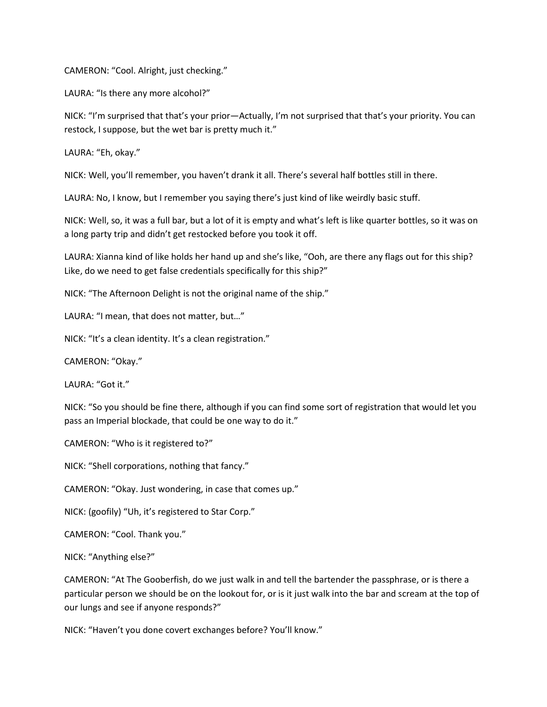CAMERON: "Cool. Alright, just checking."

LAURA: "Is there any more alcohol?"

NICK: "I'm surprised that that's your prior—Actually, I'm not surprised that that's your priority. You can restock, I suppose, but the wet bar is pretty much it."

LAURA: "Eh, okay."

NICK: Well, you'll remember, you haven't drank it all. There's several half bottles still in there.

LAURA: No, I know, but I remember you saying there's just kind of like weirdly basic stuff.

NICK: Well, so, it was a full bar, but a lot of it is empty and what's left is like quarter bottles, so it was on a long party trip and didn't get restocked before you took it off.

LAURA: Xianna kind of like holds her hand up and she's like, "Ooh, are there any flags out for this ship? Like, do we need to get false credentials specifically for this ship?"

NICK: "The Afternoon Delight is not the original name of the ship."

LAURA: "I mean, that does not matter, but…"

NICK: "It's a clean identity. It's a clean registration."

CAMERON: "Okay."

LAURA: "Got it."

NICK: "So you should be fine there, although if you can find some sort of registration that would let you pass an Imperial blockade, that could be one way to do it."

CAMERON: "Who is it registered to?"

NICK: "Shell corporations, nothing that fancy."

CAMERON: "Okay. Just wondering, in case that comes up."

NICK: (goofily) "Uh, it's registered to Star Corp."

CAMERON: "Cool. Thank you."

NICK: "Anything else?"

CAMERON: "At The Gooberfish, do we just walk in and tell the bartender the passphrase, or is there a particular person we should be on the lookout for, or is it just walk into the bar and scream at the top of our lungs and see if anyone responds?"

NICK: "Haven't you done covert exchanges before? You'll know."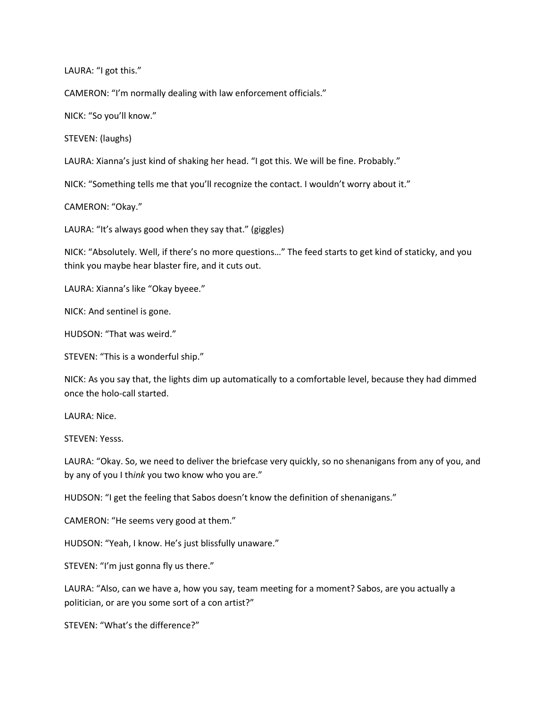LAURA: "I got this."

CAMERON: "I'm normally dealing with law enforcement officials."

NICK: "So you'll know."

STEVEN: (laughs)

LAURA: Xianna's just kind of shaking her head. "I got this. We will be fine. Probably."

NICK: "Something tells me that you'll recognize the contact. I wouldn't worry about it."

CAMERON: "Okay."

LAURA: "It's always good when they say that." (giggles)

NICK: "Absolutely. Well, if there's no more questions…" The feed starts to get kind of staticky, and you think you maybe hear blaster fire, and it cuts out.

LAURA: Xianna's like "Okay byeee."

NICK: And sentinel is gone.

HUDSON: "That was weird."

STEVEN: "This is a wonderful ship."

NICK: As you say that, the lights dim up automatically to a comfortable level, because they had dimmed once the holo-call started.

LAURA: Nice.

STEVEN: Yesss.

LAURA: "Okay. So, we need to deliver the briefcase very quickly, so no shenanigans from any of you, and by any of you I think you two know who you are."

HUDSON: "I get the feeling that Sabos doesn't know the definition of shenanigans."

CAMERON: "He seems very good at them."

HUDSON: "Yeah, I know. He's just blissfully unaware."

STEVEN: "I'm just gonna fly us there."

LAURA: "Also, can we have a, how you say, team meeting for a moment? Sabos, are you actually a politician, or are you some sort of a con artist?"

STEVEN: "What's the difference?"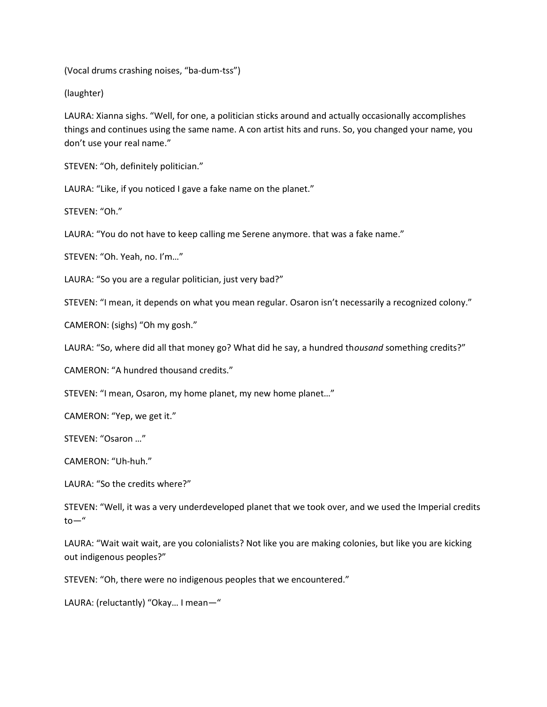(Vocal drums crashing noises, "ba-dum-tss")

(laughter)

LAURA: Xianna sighs. "Well, for one, a politician sticks around and actually occasionally accomplishes things and continues using the same name. A con artist hits and runs. So, you changed your name, you don't use your real name."

STEVEN: "Oh, definitely politician."

LAURA: "Like, if you noticed I gave a fake name on the planet."

STEVEN: "Oh."

LAURA: "You do not have to keep calling me Serene anymore. that was a fake name."

STEVEN: "Oh. Yeah, no. I'm…"

LAURA: "So you are a regular politician, just very bad?"

STEVEN: "I mean, it depends on what you mean regular. Osaron isn't necessarily a recognized colony."

CAMERON: (sighs) "Oh my gosh."

LAURA: "So, where did all that money go? What did he say, a hundred thousand something credits?"

CAMERON: "A hundred thousand credits."

STEVEN: "I mean, Osaron, my home planet, my new home planet…"

CAMERON: "Yep, we get it."

STEVEN: "Osaron …"

CAMERON: "Uh-huh."

LAURA: "So the credits where?"

STEVEN: "Well, it was a very underdeveloped planet that we took over, and we used the Imperial credits  $to -''$ 

LAURA: "Wait wait wait, are you colonialists? Not like you are making colonies, but like you are kicking out indigenous peoples?"

STEVEN: "Oh, there were no indigenous peoples that we encountered."

LAURA: (reluctantly) "Okay… I mean—"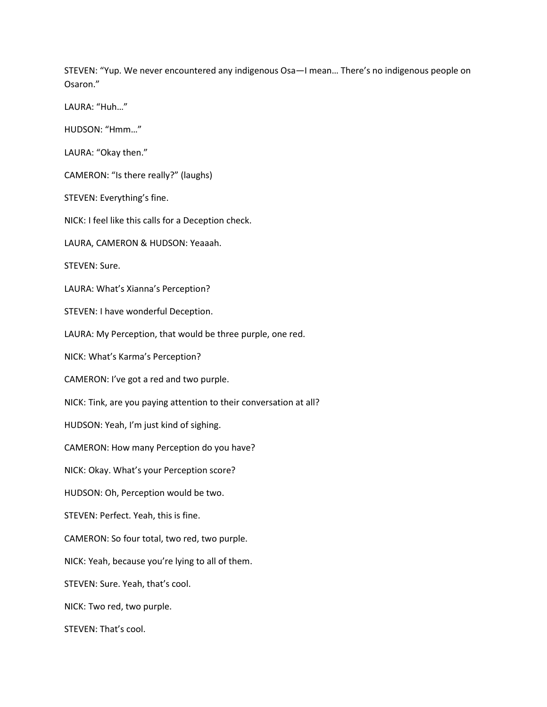STEVEN: "Yup. We never encountered any indigenous Osa—I mean… There's no indigenous people on Osaron."

LAURA: "Huh…"

HUDSON: "Hmm…"

LAURA: "Okay then."

CAMERON: "Is there really?" (laughs)

STEVEN: Everything's fine.

NICK: I feel like this calls for a Deception check.

LAURA, CAMERON & HUDSON: Yeaaah.

STEVEN: Sure.

LAURA: What's Xianna's Perception?

STEVEN: I have wonderful Deception.

LAURA: My Perception, that would be three purple, one red.

NICK: What's Karma's Perception?

CAMERON: I've got a red and two purple.

NICK: Tink, are you paying attention to their conversation at all?

HUDSON: Yeah, I'm just kind of sighing.

CAMERON: How many Perception do you have?

NICK: Okay. What's your Perception score?

HUDSON: Oh, Perception would be two.

STEVEN: Perfect. Yeah, this is fine.

CAMERON: So four total, two red, two purple.

NICK: Yeah, because you're lying to all of them.

STEVEN: Sure. Yeah, that's cool.

NICK: Two red, two purple.

STEVEN: That's cool.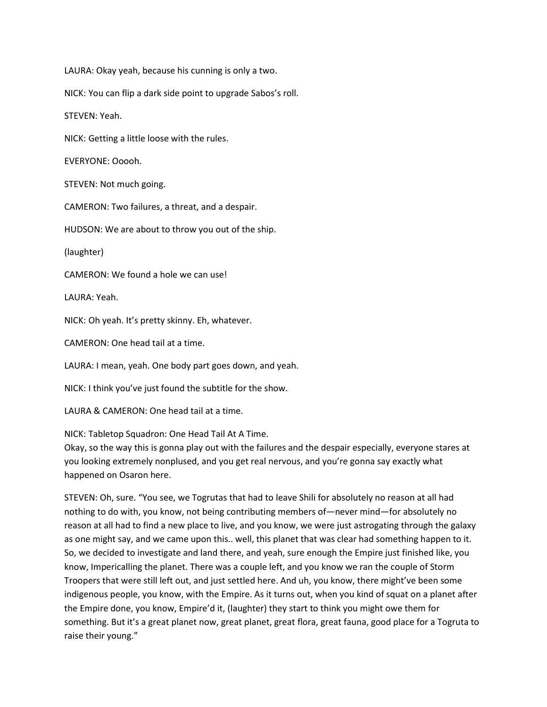LAURA: Okay yeah, because his cunning is only a two.

NICK: You can flip a dark side point to upgrade Sabos's roll.

STEVEN: Yeah.

NICK: Getting a little loose with the rules.

EVERYONE: Ooooh.

STEVEN: Not much going.

CAMERON: Two failures, a threat, and a despair.

HUDSON: We are about to throw you out of the ship.

(laughter)

CAMERON: We found a hole we can use!

LAURA: Yeah.

NICK: Oh yeah. It's pretty skinny. Eh, whatever.

CAMERON: One head tail at a time.

LAURA: I mean, yeah. One body part goes down, and yeah.

NICK: I think you've just found the subtitle for the show.

LAURA & CAMERON: One head tail at a time.

NICK: Tabletop Squadron: One Head Tail At A Time.

Okay, so the way this is gonna play out with the failures and the despair especially, everyone stares at you looking extremely nonplused, and you get real nervous, and you're gonna say exactly what happened on Osaron here.

STEVEN: Oh, sure. "You see, we Togrutas that had to leave Shili for absolutely no reason at all had nothing to do with, you know, not being contributing members of—never mind—for absolutely no reason at all had to find a new place to live, and you know, we were just astrogating through the galaxy as one might say, and we came upon this.. well, this planet that was clear had something happen to it. So, we decided to investigate and land there, and yeah, sure enough the Empire just finished like, you know, Impericalling the planet. There was a couple left, and you know we ran the couple of Storm Troopers that were still left out, and just settled here. And uh, you know, there might've been some indigenous people, you know, with the Empire. As it turns out, when you kind of squat on a planet after the Empire done, you know, Empire'd it, (laughter) they start to think you might owe them for something. But it's a great planet now, great planet, great flora, great fauna, good place for a Togruta to raise their young."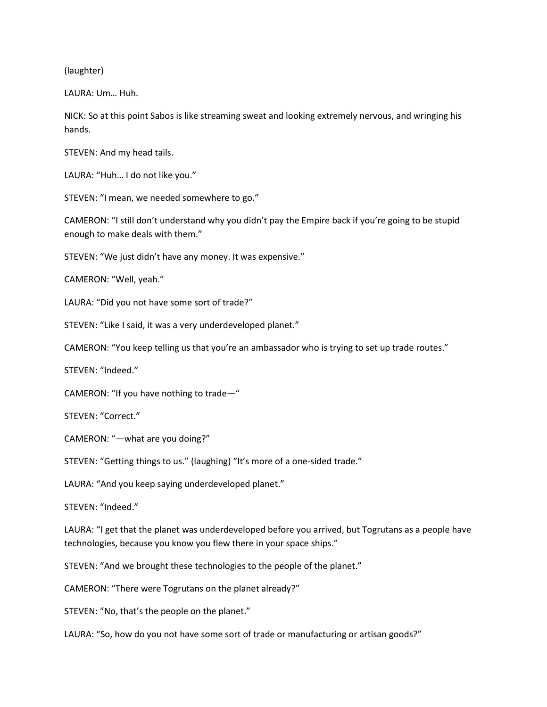(laughter)

LAURA: Um… Huh.

NICK: So at this point Sabos is like streaming sweat and looking extremely nervous, and wringing his hands.

STEVEN: And my head tails.

LAURA: "Huh… I do not like you."

STEVEN: "I mean, we needed somewhere to go."

CAMERON: "I still don't understand why you didn't pay the Empire back if you're going to be stupid enough to make deals with them."

STEVEN: "We just didn't have any money. It was expensive."

CAMERON: "Well, yeah."

LAURA: "Did you not have some sort of trade?"

STEVEN: "Like I said, it was a very underdeveloped planet."

CAMERON: "You keep telling us that you're an ambassador who is trying to set up trade routes."

STEVEN: "Indeed."

CAMERON: "If you have nothing to trade—"

STEVEN: "Correct."

CAMERON: "—what are you doing?"

STEVEN: "Getting things to us." (laughing) "It's more of a one-sided trade."

LAURA: "And you keep saying underdeveloped planet."

STEVEN: "Indeed."

LAURA: "I get that the planet was underdeveloped before you arrived, but Togrutans as a people have technologies, because you know you flew there in your space ships."

STEVEN: "And we brought these technologies to the people of the planet."

CAMERON: "There were Togrutans on the planet already?"

STEVEN: "No, that's the people on the planet."

LAURA: "So, how do you not have some sort of trade or manufacturing or artisan goods?"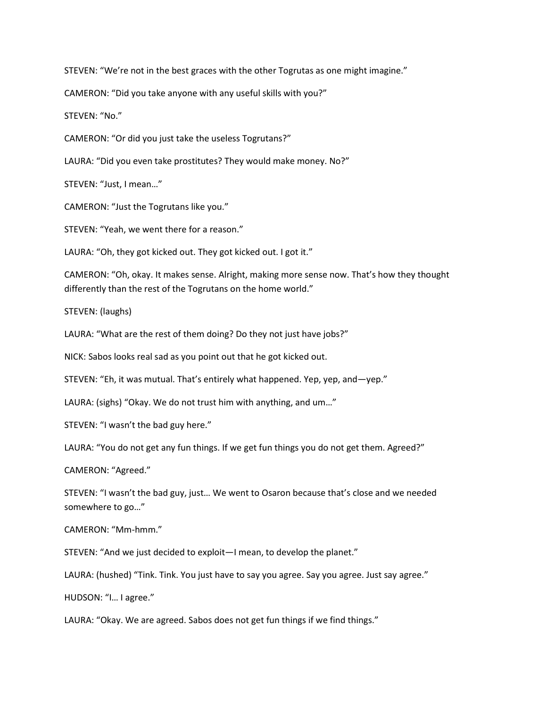STEVEN: "We're not in the best graces with the other Togrutas as one might imagine."

CAMERON: "Did you take anyone with any useful skills with you?"

STEVEN: "No."

CAMERON: "Or did you just take the useless Togrutans?"

LAURA: "Did you even take prostitutes? They would make money. No?"

STEVEN: "Just, I mean…"

CAMERON: "Just the Togrutans like you."

STEVEN: "Yeah, we went there for a reason."

LAURA: "Oh, they got kicked out. They got kicked out. I got it."

CAMERON: "Oh, okay. It makes sense. Alright, making more sense now. That's how they thought differently than the rest of the Togrutans on the home world."

STEVEN: (laughs)

LAURA: "What are the rest of them doing? Do they not just have jobs?"

NICK: Sabos looks real sad as you point out that he got kicked out.

STEVEN: "Eh, it was mutual. That's entirely what happened. Yep, yep, and—yep."

LAURA: (sighs) "Okay. We do not trust him with anything, and um…"

STEVEN: "I wasn't the bad guy here."

LAURA: "You do not get any fun things. If we get fun things you do not get them. Agreed?"

CAMERON: "Agreed."

STEVEN: "I wasn't the bad guy, just… We went to Osaron because that's close and we needed somewhere to go…"

CAMERON: "Mm-hmm."

STEVEN: "And we just decided to exploit—I mean, to develop the planet."

LAURA: (hushed) "Tink. Tink. You just have to say you agree. Say you agree. Just say agree."

HUDSON: "I… I agree."

LAURA: "Okay. We are agreed. Sabos does not get fun things if we find things."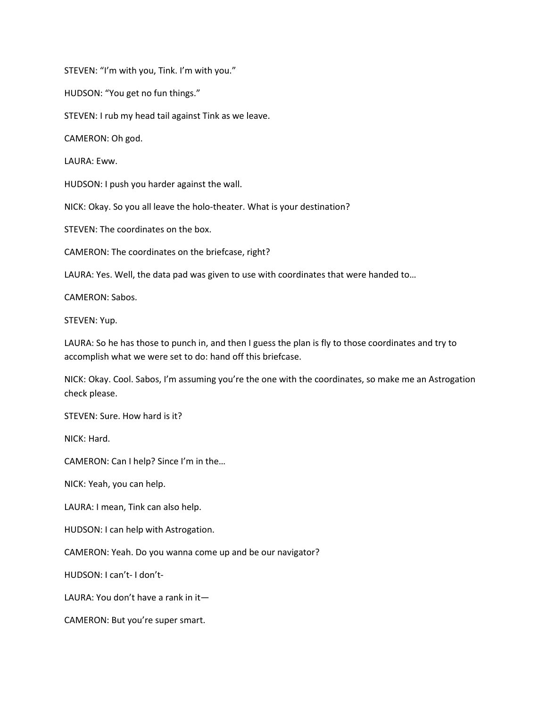STEVEN: "I'm with you, Tink. I'm with you."

HUDSON: "You get no fun things."

STEVEN: I rub my head tail against Tink as we leave.

CAMERON: Oh god.

LAURA: Eww.

HUDSON: I push you harder against the wall.

NICK: Okay. So you all leave the holo-theater. What is your destination?

STEVEN: The coordinates on the box.

CAMERON: The coordinates on the briefcase, right?

LAURA: Yes. Well, the data pad was given to use with coordinates that were handed to…

CAMERON: Sabos.

STEVEN: Yup.

LAURA: So he has those to punch in, and then I guess the plan is fly to those coordinates and try to accomplish what we were set to do: hand off this briefcase.

NICK: Okay. Cool. Sabos, I'm assuming you're the one with the coordinates, so make me an Astrogation check please.

STEVEN: Sure. How hard is it?

NICK: Hard.

CAMERON: Can I help? Since I'm in the…

NICK: Yeah, you can help.

LAURA: I mean, Tink can also help.

HUDSON: I can help with Astrogation.

CAMERON: Yeah. Do you wanna come up and be our navigator?

HUDSON: I can't- I don't-

LAURA: You don't have a rank in it—

CAMERON: But you're super smart.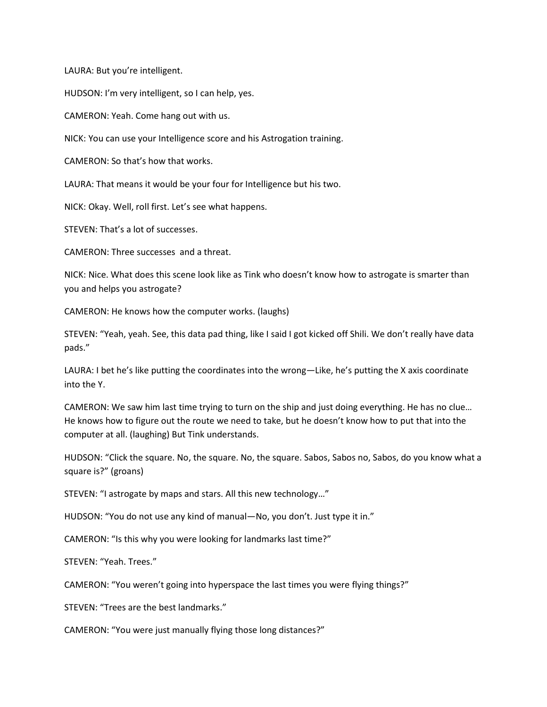LAURA: But you're intelligent.

HUDSON: I'm very intelligent, so I can help, yes.

CAMERON: Yeah. Come hang out with us.

NICK: You can use your Intelligence score and his Astrogation training.

CAMERON: So that's how that works.

LAURA: That means it would be your four for Intelligence but his two.

NICK: Okay. Well, roll first. Let's see what happens.

STEVEN: That's a lot of successes.

CAMERON: Three successes and a threat.

NICK: Nice. What does this scene look like as Tink who doesn't know how to astrogate is smarter than you and helps you astrogate?

CAMERON: He knows how the computer works. (laughs)

STEVEN: "Yeah, yeah. See, this data pad thing, like I said I got kicked off Shili. We don't really have data pads."

LAURA: I bet he's like putting the coordinates into the wrong—Like, he's putting the X axis coordinate into the Y.

CAMERON: We saw him last time trying to turn on the ship and just doing everything. He has no clue… He knows how to figure out the route we need to take, but he doesn't know how to put that into the computer at all. (laughing) But Tink understands.

HUDSON: "Click the square. No, the square. No, the square. Sabos, Sabos no, Sabos, do you know what a square is?" (groans)

STEVEN: "I astrogate by maps and stars. All this new technology…"

HUDSON: "You do not use any kind of manual—No, you don't. Just type it in."

CAMERON: "Is this why you were looking for landmarks last time?"

STEVEN: "Yeah. Trees."

CAMERON: "You weren't going into hyperspace the last times you were flying things?"

STEVEN: "Trees are the best landmarks."

CAMERON: "You were just manually flying those long distances?"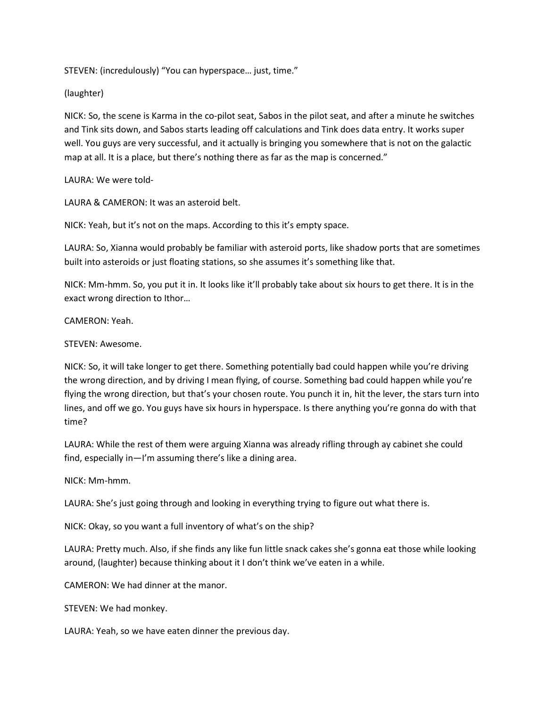STEVEN: (incredulously) "You can hyperspace… just, time."

(laughter)

NICK: So, the scene is Karma in the co-pilot seat, Sabos in the pilot seat, and after a minute he switches and Tink sits down, and Sabos starts leading off calculations and Tink does data entry. It works super well. You guys are very successful, and it actually is bringing you somewhere that is not on the galactic map at all. It is a place, but there's nothing there as far as the map is concerned."

LAURA: We were told-

LAURA & CAMERON: It was an asteroid belt.

NICK: Yeah, but it's not on the maps. According to this it's empty space.

LAURA: So, Xianna would probably be familiar with asteroid ports, like shadow ports that are sometimes built into asteroids or just floating stations, so she assumes it's something like that.

NICK: Mm-hmm. So, you put it in. It looks like it'll probably take about six hours to get there. It is in the exact wrong direction to Ithor…

CAMERON: Yeah.

# STEVEN: Awesome.

NICK: So, it will take longer to get there. Something potentially bad could happen while you're driving the wrong direction, and by driving I mean flying, of course. Something bad could happen while you're flying the wrong direction, but that's your chosen route. You punch it in, hit the lever, the stars turn into lines, and off we go. You guys have six hours in hyperspace. Is there anything you're gonna do with that time?

LAURA: While the rest of them were arguing Xianna was already rifling through ay cabinet she could find, especially in—I'm assuming there's like a dining area.

NICK: Mm-hmm.

LAURA: She's just going through and looking in everything trying to figure out what there is.

NICK: Okay, so you want a full inventory of what's on the ship?

LAURA: Pretty much. Also, if she finds any like fun little snack cakes she's gonna eat those while looking around, (laughter) because thinking about it I don't think we've eaten in a while.

CAMERON: We had dinner at the manor.

STEVEN: We had monkey.

LAURA: Yeah, so we have eaten dinner the previous day.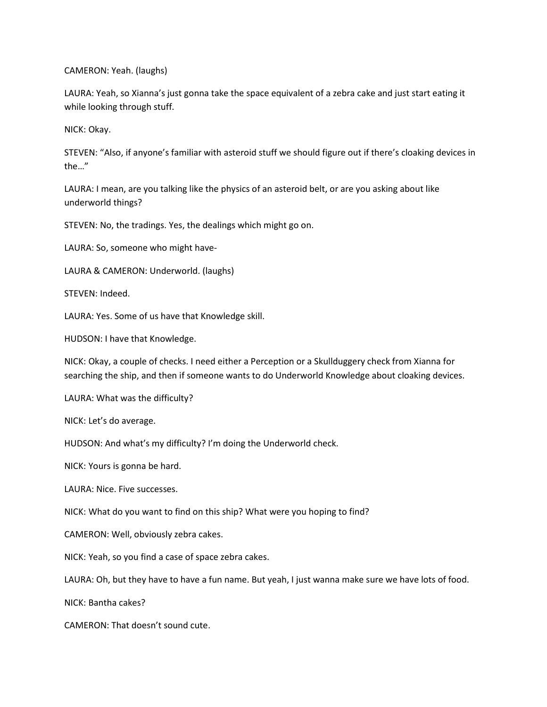CAMERON: Yeah. (laughs)

LAURA: Yeah, so Xianna's just gonna take the space equivalent of a zebra cake and just start eating it while looking through stuff.

NICK: Okay.

STEVEN: "Also, if anyone's familiar with asteroid stuff we should figure out if there's cloaking devices in the…"

LAURA: I mean, are you talking like the physics of an asteroid belt, or are you asking about like underworld things?

STEVEN: No, the tradings. Yes, the dealings which might go on.

LAURA: So, someone who might have-

LAURA & CAMERON: Underworld. (laughs)

STEVEN: Indeed.

LAURA: Yes. Some of us have that Knowledge skill.

HUDSON: I have that Knowledge.

NICK: Okay, a couple of checks. I need either a Perception or a Skullduggery check from Xianna for searching the ship, and then if someone wants to do Underworld Knowledge about cloaking devices.

LAURA: What was the difficulty?

NICK: Let's do average.

HUDSON: And what's my difficulty? I'm doing the Underworld check.

NICK: Yours is gonna be hard.

LAURA: Nice. Five successes.

NICK: What do you want to find on this ship? What were you hoping to find?

CAMERON: Well, obviously zebra cakes.

NICK: Yeah, so you find a case of space zebra cakes.

LAURA: Oh, but they have to have a fun name. But yeah, I just wanna make sure we have lots of food.

NICK: Bantha cakes?

CAMERON: That doesn't sound cute.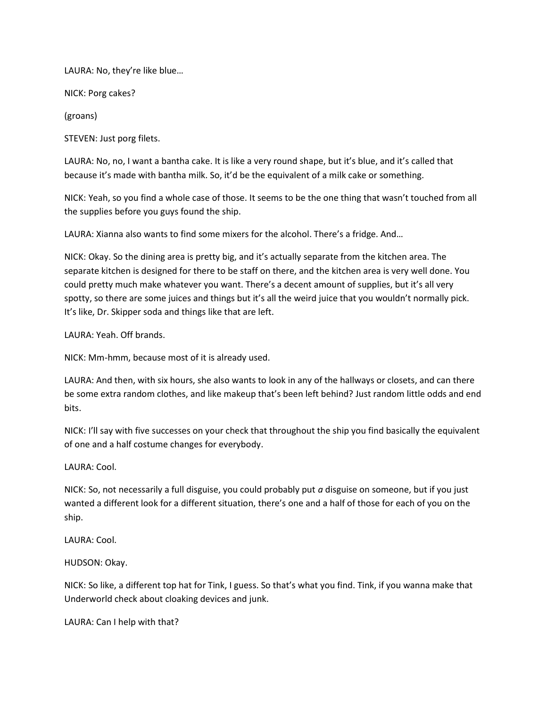LAURA: No, they're like blue…

NICK: Porg cakes?

(groans)

STEVEN: Just porg filets.

LAURA: No, no, I want a bantha cake. It is like a very round shape, but it's blue, and it's called that because it's made with bantha milk. So, it'd be the equivalent of a milk cake or something.

NICK: Yeah, so you find a whole case of those. It seems to be the one thing that wasn't touched from all the supplies before you guys found the ship.

LAURA: Xianna also wants to find some mixers for the alcohol. There's a fridge. And…

NICK: Okay. So the dining area is pretty big, and it's actually separate from the kitchen area. The separate kitchen is designed for there to be staff on there, and the kitchen area is very well done. You could pretty much make whatever you want. There's a decent amount of supplies, but it's all very spotty, so there are some juices and things but it's all the weird juice that you wouldn't normally pick. It's like, Dr. Skipper soda and things like that are left.

LAURA: Yeah. Off brands.

NICK: Mm-hmm, because most of it is already used.

LAURA: And then, with six hours, she also wants to look in any of the hallways or closets, and can there be some extra random clothes, and like makeup that's been left behind? Just random little odds and end bits.

NICK: I'll say with five successes on your check that throughout the ship you find basically the equivalent of one and a half costume changes for everybody.

LAURA: Cool.

NICK: So, not necessarily a full disguise, you could probably put  $a$  disguise on someone, but if you just wanted a different look for a different situation, there's one and a half of those for each of you on the ship.

LAURA: Cool.

HUDSON: Okay.

NICK: So like, a different top hat for Tink, I guess. So that's what you find. Tink, if you wanna make that Underworld check about cloaking devices and junk.

LAURA: Can I help with that?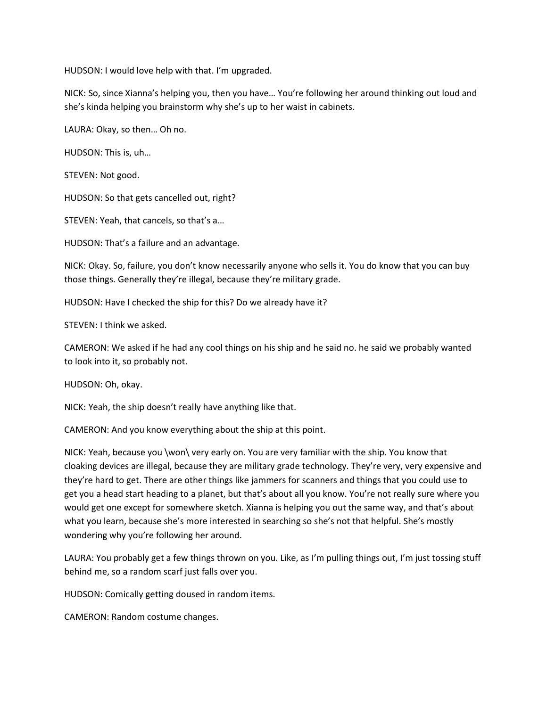HUDSON: I would love help with that. I'm upgraded.

NICK: So, since Xianna's helping you, then you have… You're following her around thinking out loud and she's kinda helping you brainstorm why she's up to her waist in cabinets.

LAURA: Okay, so then… Oh no.

HUDSON: This is, uh…

STEVEN: Not good.

HUDSON: So that gets cancelled out, right?

STEVEN: Yeah, that cancels, so that's a…

HUDSON: That's a failure and an advantage.

NICK: Okay. So, failure, you don't know necessarily anyone who sells it. You do know that you can buy those things. Generally they're illegal, because they're military grade.

HUDSON: Have I checked the ship for this? Do we already have it?

STEVEN: I think we asked.

CAMERON: We asked if he had any cool things on his ship and he said no. he said we probably wanted to look into it, so probably not.

HUDSON: Oh, okay.

NICK: Yeah, the ship doesn't really have anything like that.

CAMERON: And you know everything about the ship at this point.

NICK: Yeah, because you \won\ very early on. You are very familiar with the ship. You know that cloaking devices are illegal, because they are military grade technology. They're very, very expensive and they're hard to get. There are other things like jammers for scanners and things that you could use to get you a head start heading to a planet, but that's about all you know. You're not really sure where you would get one except for somewhere sketch. Xianna is helping you out the same way, and that's about what you learn, because she's more interested in searching so she's not that helpful. She's mostly wondering why you're following her around.

LAURA: You probably get a few things thrown on you. Like, as I'm pulling things out, I'm just tossing stuff behind me, so a random scarf just falls over you.

HUDSON: Comically getting doused in random items.

CAMERON: Random costume changes.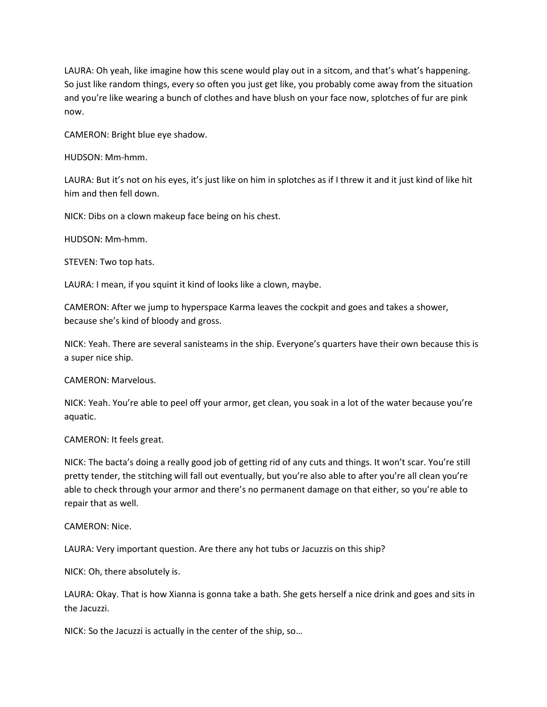LAURA: Oh yeah, like imagine how this scene would play out in a sitcom, and that's what's happening. So just like random things, every so often you just get like, you probably come away from the situation and you're like wearing a bunch of clothes and have blush on your face now, splotches of fur are pink now.

CAMERON: Bright blue eye shadow.

HUDSON: Mm-hmm.

LAURA: But it's not on his eyes, it's just like on him in splotches as if I threw it and it just kind of like hit him and then fell down.

NICK: Dibs on a clown makeup face being on his chest.

HUDSON: Mm-hmm.

STEVEN: Two top hats.

LAURA: I mean, if you squint it kind of looks like a clown, maybe.

CAMERON: After we jump to hyperspace Karma leaves the cockpit and goes and takes a shower, because she's kind of bloody and gross.

NICK: Yeah. There are several sanisteams in the ship. Everyone's quarters have their own because this is a super nice ship.

CAMERON: Marvelous.

NICK: Yeah. You're able to peel off your armor, get clean, you soak in a lot of the water because you're aquatic.

CAMERON: It feels great.

NICK: The bacta's doing a really good job of getting rid of any cuts and things. It won't scar. You're still pretty tender, the stitching will fall out eventually, but you're also able to after you're all clean you're able to check through your armor and there's no permanent damage on that either, so you're able to repair that as well.

### CAMERON: Nice.

LAURA: Very important question. Are there any hot tubs or Jacuzzis on this ship?

NICK: Oh, there absolutely is.

LAURA: Okay. That is how Xianna is gonna take a bath. She gets herself a nice drink and goes and sits in the Jacuzzi.

NICK: So the Jacuzzi is actually in the center of the ship, so…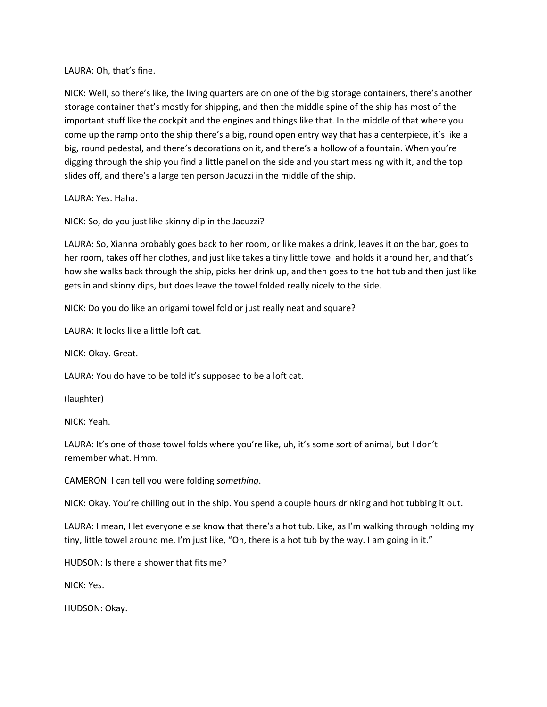LAURA: Oh, that's fine.

NICK: Well, so there's like, the living quarters are on one of the big storage containers, there's another storage container that's mostly for shipping, and then the middle spine of the ship has most of the important stuff like the cockpit and the engines and things like that. In the middle of that where you come up the ramp onto the ship there's a big, round open entry way that has a centerpiece, it's like a big, round pedestal, and there's decorations on it, and there's a hollow of a fountain. When you're digging through the ship you find a little panel on the side and you start messing with it, and the top slides off, and there's a large ten person Jacuzzi in the middle of the ship.

LAURA: Yes. Haha.

NICK: So, do you just like skinny dip in the Jacuzzi?

LAURA: So, Xianna probably goes back to her room, or like makes a drink, leaves it on the bar, goes to her room, takes off her clothes, and just like takes a tiny little towel and holds it around her, and that's how she walks back through the ship, picks her drink up, and then goes to the hot tub and then just like gets in and skinny dips, but does leave the towel folded really nicely to the side.

NICK: Do you do like an origami towel fold or just really neat and square?

LAURA: It looks like a little loft cat.

NICK: Okay. Great.

LAURA: You do have to be told it's supposed to be a loft cat.

(laughter)

NICK: Yeah.

LAURA: It's one of those towel folds where you're like, uh, it's some sort of animal, but I don't remember what. Hmm.

CAMERON: I can tell you were folding something.

NICK: Okay. You're chilling out in the ship. You spend a couple hours drinking and hot tubbing it out.

LAURA: I mean, I let everyone else know that there's a hot tub. Like, as I'm walking through holding my tiny, little towel around me, I'm just like, "Oh, there is a hot tub by the way. I am going in it."

HUDSON: Is there a shower that fits me?

NICK: Yes.

HUDSON: Okay.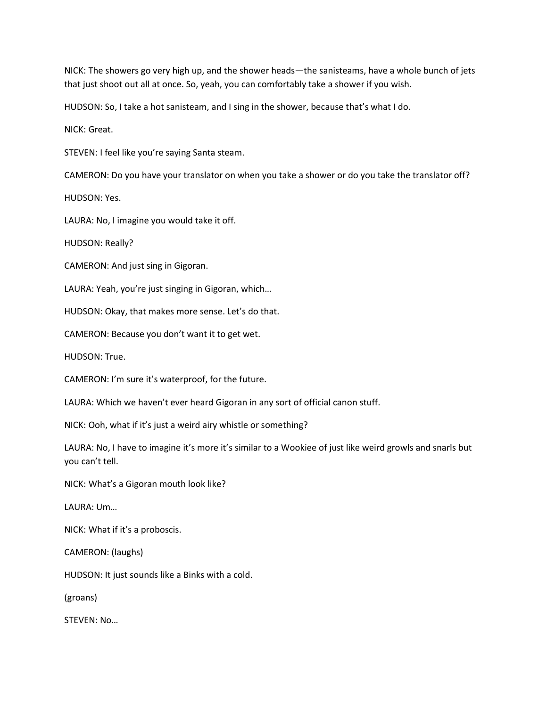NICK: The showers go very high up, and the shower heads—the sanisteams, have a whole bunch of jets that just shoot out all at once. So, yeah, you can comfortably take a shower if you wish.

HUDSON: So, I take a hot sanisteam, and I sing in the shower, because that's what I do.

NICK: Great.

STEVEN: I feel like you're saying Santa steam.

CAMERON: Do you have your translator on when you take a shower or do you take the translator off?

HUDSON: Yes.

LAURA: No, I imagine you would take it off.

HUDSON: Really?

CAMERON: And just sing in Gigoran.

LAURA: Yeah, you're just singing in Gigoran, which…

HUDSON: Okay, that makes more sense. Let's do that.

CAMERON: Because you don't want it to get wet.

HUDSON: True.

CAMERON: I'm sure it's waterproof, for the future.

LAURA: Which we haven't ever heard Gigoran in any sort of official canon stuff.

NICK: Ooh, what if it's just a weird airy whistle or something?

LAURA: No, I have to imagine it's more it's similar to a Wookiee of just like weird growls and snarls but you can't tell.

NICK: What's a Gigoran mouth look like?

LAURA: Um…

NICK: What if it's a proboscis.

CAMERON: (laughs)

HUDSON: It just sounds like a Binks with a cold.

(groans)

STEVEN: No…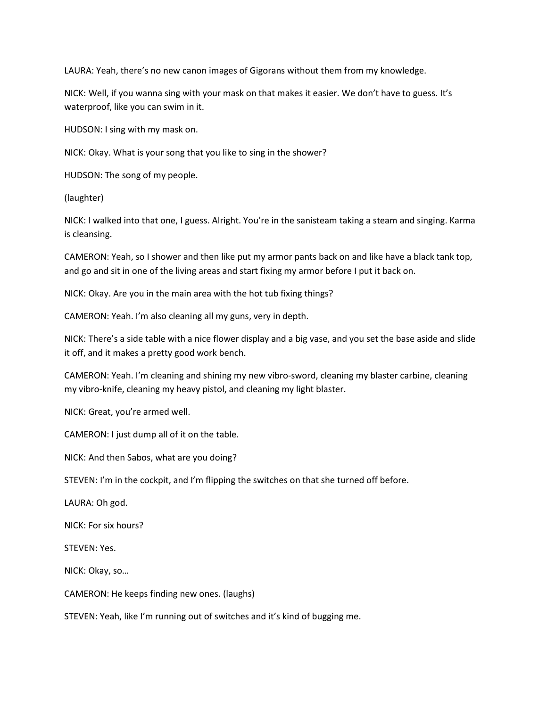LAURA: Yeah, there's no new canon images of Gigorans without them from my knowledge.

NICK: Well, if you wanna sing with your mask on that makes it easier. We don't have to guess. It's waterproof, like you can swim in it.

HUDSON: I sing with my mask on.

NICK: Okay. What is your song that you like to sing in the shower?

HUDSON: The song of my people.

(laughter)

NICK: I walked into that one, I guess. Alright. You're in the sanisteam taking a steam and singing. Karma is cleansing.

CAMERON: Yeah, so I shower and then like put my armor pants back on and like have a black tank top, and go and sit in one of the living areas and start fixing my armor before I put it back on.

NICK: Okay. Are you in the main area with the hot tub fixing things?

CAMERON: Yeah. I'm also cleaning all my guns, very in depth.

NICK: There's a side table with a nice flower display and a big vase, and you set the base aside and slide it off, and it makes a pretty good work bench.

CAMERON: Yeah. I'm cleaning and shining my new vibro-sword, cleaning my blaster carbine, cleaning my vibro-knife, cleaning my heavy pistol, and cleaning my light blaster.

NICK: Great, you're armed well.

CAMERON: I just dump all of it on the table.

NICK: And then Sabos, what are you doing?

STEVEN: I'm in the cockpit, and I'm flipping the switches on that she turned off before.

LAURA: Oh god.

NICK: For six hours?

STEVEN: Yes.

NICK: Okay, so…

CAMERON: He keeps finding new ones. (laughs)

STEVEN: Yeah, like I'm running out of switches and it's kind of bugging me.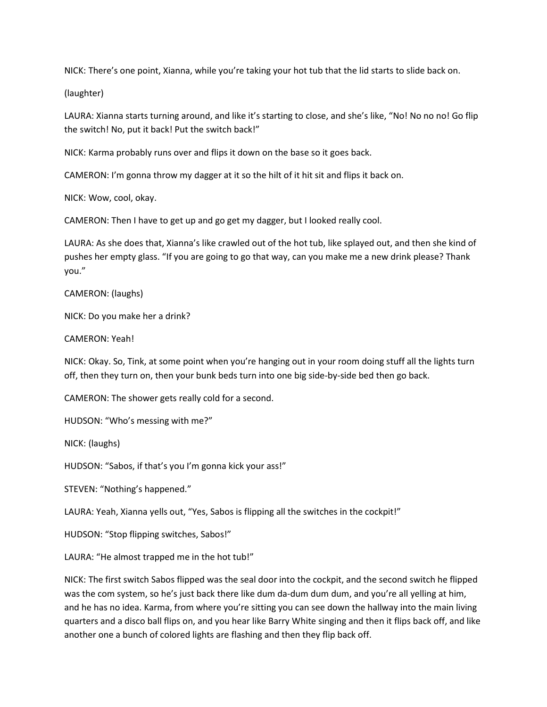NICK: There's one point, Xianna, while you're taking your hot tub that the lid starts to slide back on.

(laughter)

LAURA: Xianna starts turning around, and like it's starting to close, and she's like, "No! No no no! Go flip the switch! No, put it back! Put the switch back!"

NICK: Karma probably runs over and flips it down on the base so it goes back.

CAMERON: I'm gonna throw my dagger at it so the hilt of it hit sit and flips it back on.

NICK: Wow, cool, okay.

CAMERON: Then I have to get up and go get my dagger, but I looked really cool.

LAURA: As she does that, Xianna's like crawled out of the hot tub, like splayed out, and then she kind of pushes her empty glass. "If you are going to go that way, can you make me a new drink please? Thank you."

CAMERON: (laughs)

NICK: Do you make her a drink?

### CAMERON: Yeah!

NICK: Okay. So, Tink, at some point when you're hanging out in your room doing stuff all the lights turn off, then they turn on, then your bunk beds turn into one big side-by-side bed then go back.

CAMERON: The shower gets really cold for a second.

HUDSON: "Who's messing with me?"

NICK: (laughs)

HUDSON: "Sabos, if that's you I'm gonna kick your ass!"

STEVEN: "Nothing's happened."

LAURA: Yeah, Xianna yells out, "Yes, Sabos is flipping all the switches in the cockpit!"

HUDSON: "Stop flipping switches, Sabos!"

LAURA: "He almost trapped me in the hot tub!"

NICK: The first switch Sabos flipped was the seal door into the cockpit, and the second switch he flipped was the com system, so he's just back there like dum da-dum dum dum, and you're all yelling at him, and he has no idea. Karma, from where you're sitting you can see down the hallway into the main living quarters and a disco ball flips on, and you hear like Barry White singing and then it flips back off, and like another one a bunch of colored lights are flashing and then they flip back off.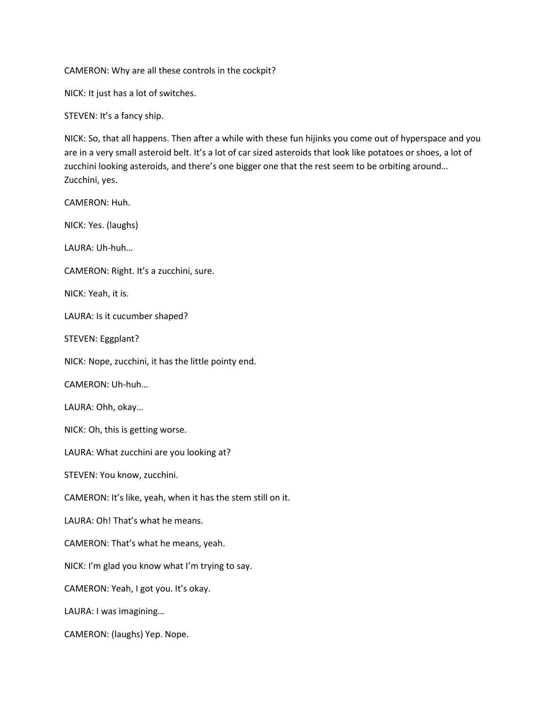CAMERON: Why are all these controls in the cockpit?

NICK: It just has a lot of switches.

STEVEN: It's a fancy ship.

NICK: So, that all happens. Then after a while with these fun hijinks you come out of hyperspace and you are in a very small asteroid belt. It's a lot of car sized asteroids that look like potatoes or shoes, a lot of zucchini looking asteroids, and there's one bigger one that the rest seem to be orbiting around… Zucchini, yes.

CAMERON: Huh. NICK: Yes. (laughs) LAURA: Uh-huh… CAMERON: Right. It's a zucchini, sure. NICK: Yeah, it is. LAURA: Is it cucumber shaped? STEVEN: Eggplant? NICK: Nope, zucchini, it has the little pointy end. CAMERON: Uh-huh… LAURA: Ohh, okay… NICK: Oh, this is getting worse. LAURA: What zucchini are you looking at? STEVEN: You know, zucchini. CAMERON: It's like, yeah, when it has the stem still on it. LAURA: Oh! That's what he means. CAMERON: That's what he means, yeah. NICK: I'm glad you know what I'm trying to say. CAMERON: Yeah, I got you. It's okay. LAURA: I was imagining… CAMERON: (laughs) Yep. Nope.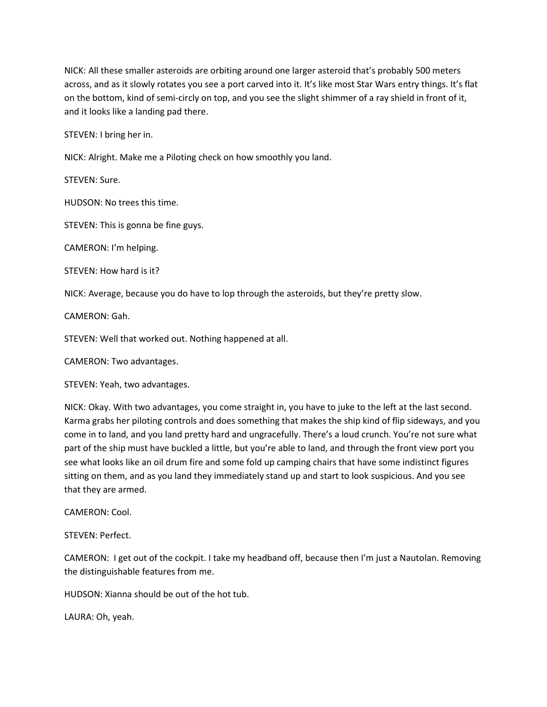NICK: All these smaller asteroids are orbiting around one larger asteroid that's probably 500 meters across, and as it slowly rotates you see a port carved into it. It's like most Star Wars entry things. It's flat on the bottom, kind of semi-circly on top, and you see the slight shimmer of a ray shield in front of it, and it looks like a landing pad there.

STEVEN: I bring her in.

NICK: Alright. Make me a Piloting check on how smoothly you land.

STEVEN: Sure.

HUDSON: No trees this time.

STEVEN: This is gonna be fine guys.

CAMERON: I'm helping.

STEVEN: How hard is it?

NICK: Average, because you do have to lop through the asteroids, but they're pretty slow.

CAMERON: Gah.

STEVEN: Well that worked out. Nothing happened at all.

CAMERON: Two advantages.

STEVEN: Yeah, two advantages.

NICK: Okay. With two advantages, you come straight in, you have to juke to the left at the last second. Karma grabs her piloting controls and does something that makes the ship kind of flip sideways, and you come in to land, and you land pretty hard and ungracefully. There's a loud crunch. You're not sure what part of the ship must have buckled a little, but you're able to land, and through the front view port you see what looks like an oil drum fire and some fold up camping chairs that have some indistinct figures sitting on them, and as you land they immediately stand up and start to look suspicious. And you see that they are armed.

CAMERON: Cool.

STEVEN: Perfect.

CAMERON: I get out of the cockpit. I take my headband off, because then I'm just a Nautolan. Removing the distinguishable features from me.

HUDSON: Xianna should be out of the hot tub.

LAURA: Oh, yeah.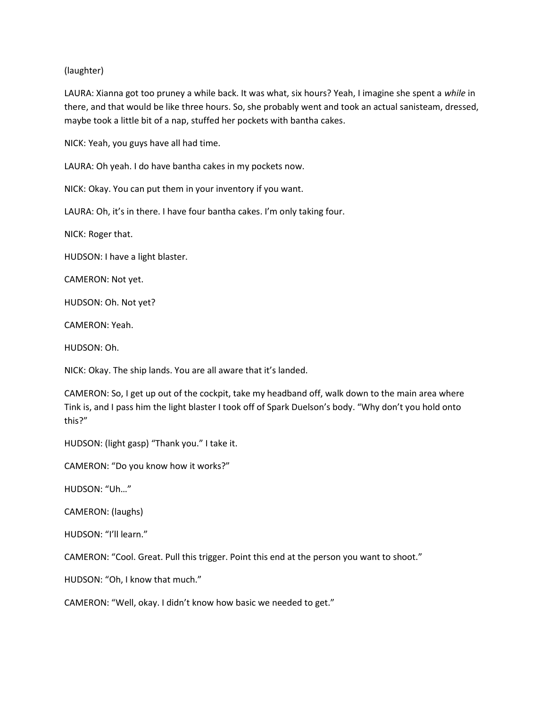## (laughter)

LAURA: Xianna got too pruney a while back. It was what, six hours? Yeah, I imagine she spent a while in there, and that would be like three hours. So, she probably went and took an actual sanisteam, dressed, maybe took a little bit of a nap, stuffed her pockets with bantha cakes.

NICK: Yeah, you guys have all had time.

LAURA: Oh yeah. I do have bantha cakes in my pockets now.

NICK: Okay. You can put them in your inventory if you want.

LAURA: Oh, it's in there. I have four bantha cakes. I'm only taking four.

NICK: Roger that.

HUDSON: I have a light blaster.

CAMERON: Not yet.

HUDSON: Oh. Not yet?

CAMERON: Yeah.

HUDSON: Oh.

NICK: Okay. The ship lands. You are all aware that it's landed.

CAMERON: So, I get up out of the cockpit, take my headband off, walk down to the main area where Tink is, and I pass him the light blaster I took off of Spark Duelson's body. "Why don't you hold onto this?"

HUDSON: (light gasp) "Thank you." I take it.

CAMERON: "Do you know how it works?"

HUDSON: "Uh…"

CAMERON: (laughs)

HUDSON: "I'll learn."

CAMERON: "Cool. Great. Pull this trigger. Point this end at the person you want to shoot."

HUDSON: "Oh, I know that much."

CAMERON: "Well, okay. I didn't know how basic we needed to get."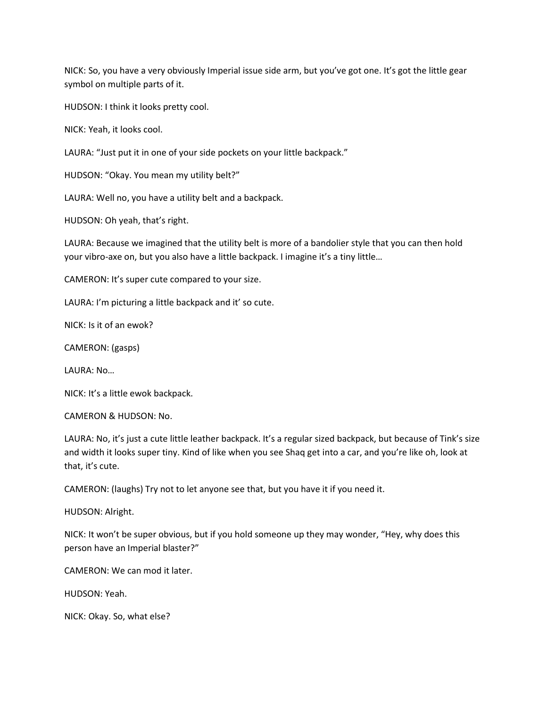NICK: So, you have a very obviously Imperial issue side arm, but you've got one. It's got the little gear symbol on multiple parts of it.

HUDSON: I think it looks pretty cool.

NICK: Yeah, it looks cool.

LAURA: "Just put it in one of your side pockets on your little backpack."

HUDSON: "Okay. You mean my utility belt?"

LAURA: Well no, you have a utility belt and a backpack.

HUDSON: Oh yeah, that's right.

LAURA: Because we imagined that the utility belt is more of a bandolier style that you can then hold your vibro-axe on, but you also have a little backpack. I imagine it's a tiny little…

CAMERON: It's super cute compared to your size.

LAURA: I'm picturing a little backpack and it' so cute.

NICK: Is it of an ewok?

CAMERON: (gasps)

LAURA: No…

NICK: It's a little ewok backpack.

CAMERON & HUDSON: No.

LAURA: No, it's just a cute little leather backpack. It's a regular sized backpack, but because of Tink's size and width it looks super tiny. Kind of like when you see Shaq get into a car, and you're like oh, look at that, it's cute.

CAMERON: (laughs) Try not to let anyone see that, but you have it if you need it.

HUDSON: Alright.

NICK: It won't be super obvious, but if you hold someone up they may wonder, "Hey, why does this person have an Imperial blaster?"

CAMERON: We can mod it later.

HUDSON: Yeah.

NICK: Okay. So, what else?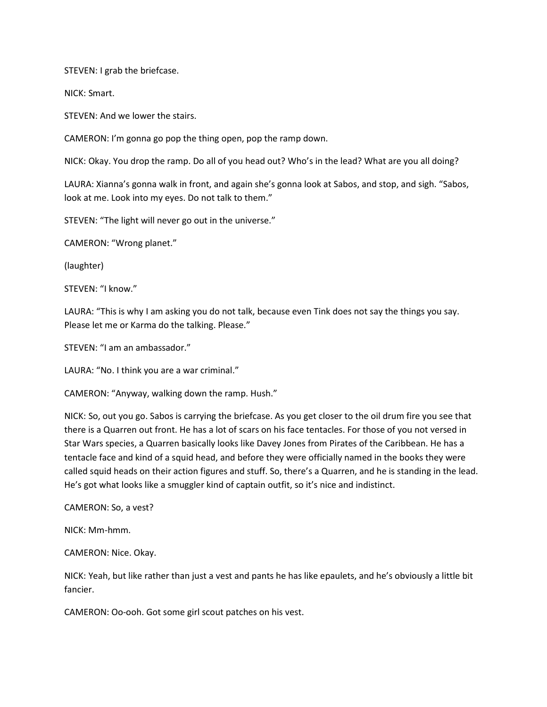STEVEN: I grab the briefcase.

NICK: Smart.

STEVEN: And we lower the stairs.

CAMERON: I'm gonna go pop the thing open, pop the ramp down.

NICK: Okay. You drop the ramp. Do all of you head out? Who's in the lead? What are you all doing?

LAURA: Xianna's gonna walk in front, and again she's gonna look at Sabos, and stop, and sigh. "Sabos, look at me. Look into my eyes. Do not talk to them."

STEVEN: "The light will never go out in the universe."

CAMERON: "Wrong planet."

(laughter)

STEVEN: "I know."

LAURA: "This is why I am asking you do not talk, because even Tink does not say the things you say. Please let me or Karma do the talking. Please."

STEVEN: "I am an ambassador."

LAURA: "No. I think you are a war criminal."

CAMERON: "Anyway, walking down the ramp. Hush."

NICK: So, out you go. Sabos is carrying the briefcase. As you get closer to the oil drum fire you see that there is a Quarren out front. He has a lot of scars on his face tentacles. For those of you not versed in Star Wars species, a Quarren basically looks like Davey Jones from Pirates of the Caribbean. He has a tentacle face and kind of a squid head, and before they were officially named in the books they were called squid heads on their action figures and stuff. So, there's a Quarren, and he is standing in the lead. He's got what looks like a smuggler kind of captain outfit, so it's nice and indistinct.

CAMERON: So, a vest?

NICK: Mm-hmm.

CAMERON: Nice. Okay.

NICK: Yeah, but like rather than just a vest and pants he has like epaulets, and he's obviously a little bit fancier.

CAMERON: Oo-ooh. Got some girl scout patches on his vest.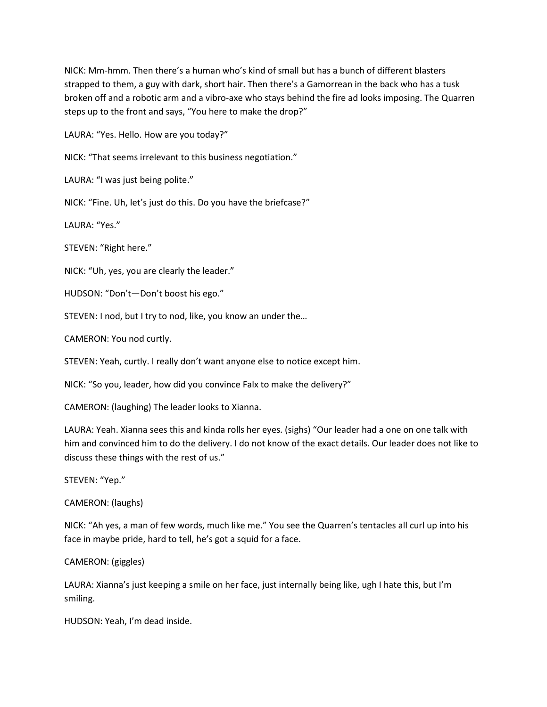NICK: Mm-hmm. Then there's a human who's kind of small but has a bunch of different blasters strapped to them, a guy with dark, short hair. Then there's a Gamorrean in the back who has a tusk broken off and a robotic arm and a vibro-axe who stays behind the fire ad looks imposing. The Quarren steps up to the front and says, "You here to make the drop?"

LAURA: "Yes. Hello. How are you today?"

NICK: "That seems irrelevant to this business negotiation."

LAURA: "I was just being polite."

NICK: "Fine. Uh, let's just do this. Do you have the briefcase?"

LAURA: "Yes."

STEVEN: "Right here."

NICK: "Uh, yes, you are clearly the leader."

HUDSON: "Don't—Don't boost his ego."

STEVEN: I nod, but I try to nod, like, you know an under the…

CAMERON: You nod curtly.

STEVEN: Yeah, curtly. I really don't want anyone else to notice except him.

NICK: "So you, leader, how did you convince Falx to make the delivery?"

CAMERON: (laughing) The leader looks to Xianna.

LAURA: Yeah. Xianna sees this and kinda rolls her eyes. (sighs) "Our leader had a one on one talk with him and convinced him to do the delivery. I do not know of the exact details. Our leader does not like to discuss these things with the rest of us."

STEVEN: "Yep."

CAMERON: (laughs)

NICK: "Ah yes, a man of few words, much like me." You see the Quarren's tentacles all curl up into his face in maybe pride, hard to tell, he's got a squid for a face.

CAMERON: (giggles)

LAURA: Xianna's just keeping a smile on her face, just internally being like, ugh I hate this, but I'm smiling.

HUDSON: Yeah, I'm dead inside.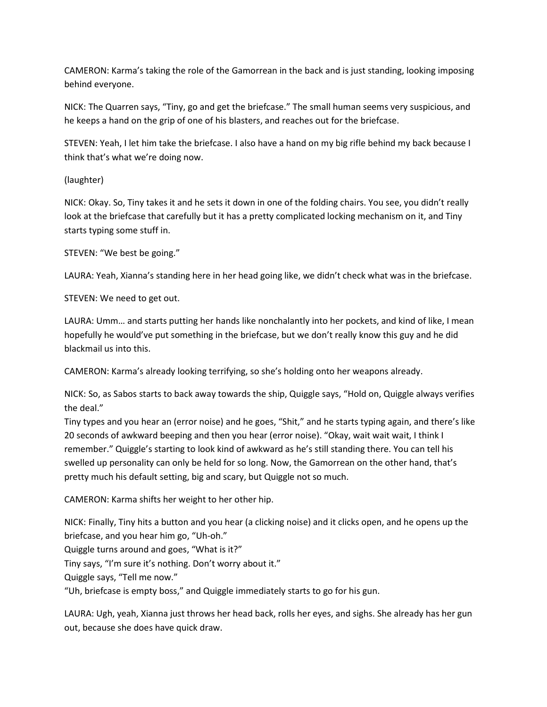CAMERON: Karma's taking the role of the Gamorrean in the back and is just standing, looking imposing behind everyone.

NICK: The Quarren says, "Tiny, go and get the briefcase." The small human seems very suspicious, and he keeps a hand on the grip of one of his blasters, and reaches out for the briefcase.

STEVEN: Yeah, I let him take the briefcase. I also have a hand on my big rifle behind my back because I think that's what we're doing now.

(laughter)

NICK: Okay. So, Tiny takes it and he sets it down in one of the folding chairs. You see, you didn't really look at the briefcase that carefully but it has a pretty complicated locking mechanism on it, and Tiny starts typing some stuff in.

STEVEN: "We best be going."

LAURA: Yeah, Xianna's standing here in her head going like, we didn't check what was in the briefcase.

STEVEN: We need to get out.

LAURA: Umm… and starts putting her hands like nonchalantly into her pockets, and kind of like, I mean hopefully he would've put something in the briefcase, but we don't really know this guy and he did blackmail us into this.

CAMERON: Karma's already looking terrifying, so she's holding onto her weapons already.

NICK: So, as Sabos starts to back away towards the ship, Quiggle says, "Hold on, Quiggle always verifies the deal."

Tiny types and you hear an (error noise) and he goes, "Shit," and he starts typing again, and there's like 20 seconds of awkward beeping and then you hear (error noise). "Okay, wait wait wait, I think I remember." Quiggle's starting to look kind of awkward as he's still standing there. You can tell his swelled up personality can only be held for so long. Now, the Gamorrean on the other hand, that's pretty much his default setting, big and scary, but Quiggle not so much.

CAMERON: Karma shifts her weight to her other hip.

NICK: Finally, Tiny hits a button and you hear (a clicking noise) and it clicks open, and he opens up the briefcase, and you hear him go, "Uh-oh."

Quiggle turns around and goes, "What is it?"

Tiny says, "I'm sure it's nothing. Don't worry about it."

Quiggle says, "Tell me now."

"Uh, briefcase is empty boss," and Quiggle immediately starts to go for his gun.

LAURA: Ugh, yeah, Xianna just throws her head back, rolls her eyes, and sighs. She already has her gun out, because she does have quick draw.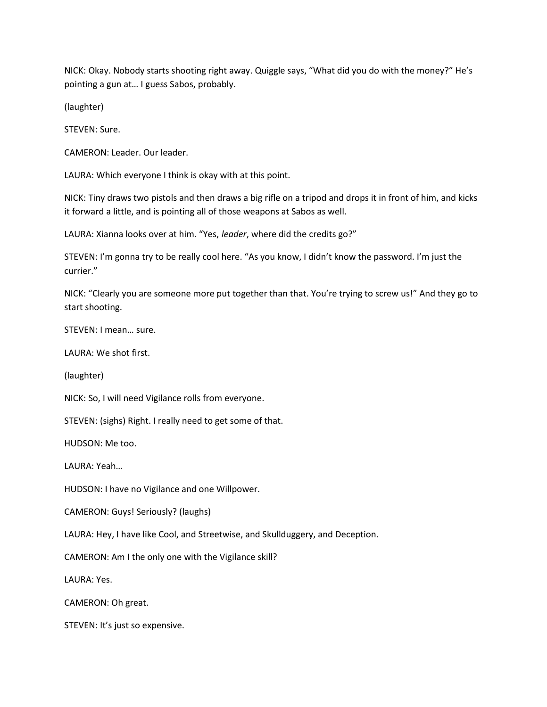NICK: Okay. Nobody starts shooting right away. Quiggle says, "What did you do with the money?" He's pointing a gun at… I guess Sabos, probably.

(laughter)

STEVEN: Sure.

CAMERON: Leader. Our leader.

LAURA: Which everyone I think is okay with at this point.

NICK: Tiny draws two pistols and then draws a big rifle on a tripod and drops it in front of him, and kicks it forward a little, and is pointing all of those weapons at Sabos as well.

LAURA: Xianna looks over at him. "Yes, leader, where did the credits go?"

STEVEN: I'm gonna try to be really cool here. "As you know, I didn't know the password. I'm just the currier."

NICK: "Clearly you are someone more put together than that. You're trying to screw us!" And they go to start shooting.

STEVEN: I mean… sure.

LAURA: We shot first.

(laughter)

NICK: So, I will need Vigilance rolls from everyone.

STEVEN: (sighs) Right. I really need to get some of that.

HUDSON: Me too.

LAURA: Yeah…

HUDSON: I have no Vigilance and one Willpower.

CAMERON: Guys! Seriously? (laughs)

LAURA: Hey, I have like Cool, and Streetwise, and Skullduggery, and Deception.

CAMERON: Am I the only one with the Vigilance skill?

LAURA: Yes.

CAMERON: Oh great.

STEVEN: It's just so expensive.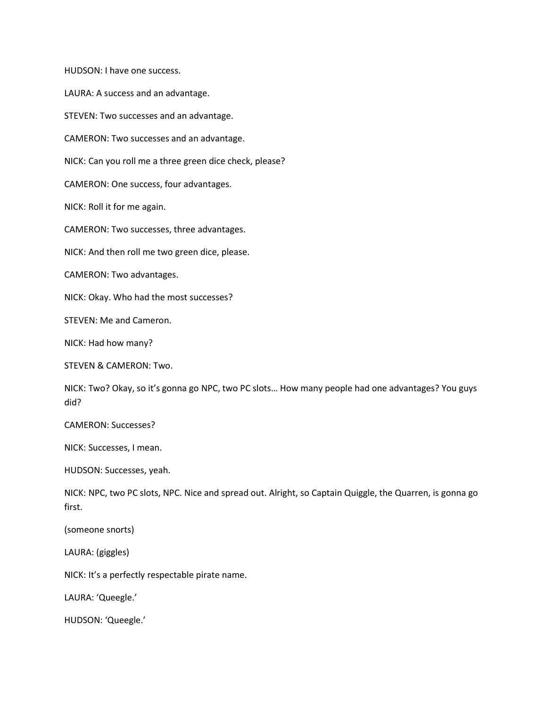HUDSON: I have one success.

LAURA: A success and an advantage.

STEVEN: Two successes and an advantage.

CAMERON: Two successes and an advantage.

NICK: Can you roll me a three green dice check, please?

CAMERON: One success, four advantages.

NICK: Roll it for me again.

CAMERON: Two successes, three advantages.

NICK: And then roll me two green dice, please.

CAMERON: Two advantages.

NICK: Okay. Who had the most successes?

STEVEN: Me and Cameron.

NICK: Had how many?

STEVEN & CAMERON: Two.

NICK: Two? Okay, so it's gonna go NPC, two PC slots… How many people had one advantages? You guys did?

CAMERON: Successes?

NICK: Successes, I mean.

HUDSON: Successes, yeah.

NICK: NPC, two PC slots, NPC. Nice and spread out. Alright, so Captain Quiggle, the Quarren, is gonna go first.

(someone snorts)

LAURA: (giggles)

NICK: It's a perfectly respectable pirate name.

LAURA: 'Queegle.'

HUDSON: 'Queegle.'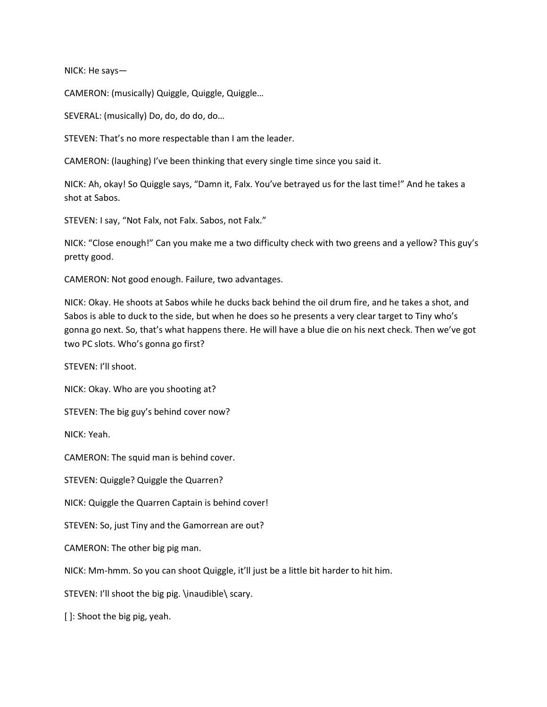NICK: He says—

CAMERON: (musically) Quiggle, Quiggle, Quiggle…

SEVERAL: (musically) Do, do, do do, do…

STEVEN: That's no more respectable than I am the leader.

CAMERON: (laughing) I've been thinking that every single time since you said it.

NICK: Ah, okay! So Quiggle says, "Damn it, Falx. You've betrayed us for the last time!" And he takes a shot at Sabos.

STEVEN: I say, "Not Falx, not Falx. Sabos, not Falx."

NICK: "Close enough!" Can you make me a two difficulty check with two greens and a yellow? This guy's pretty good.

CAMERON: Not good enough. Failure, two advantages.

NICK: Okay. He shoots at Sabos while he ducks back behind the oil drum fire, and he takes a shot, and Sabos is able to duck to the side, but when he does so he presents a very clear target to Tiny who's gonna go next. So, that's what happens there. He will have a blue die on his next check. Then we've got two PC slots. Who's gonna go first?

STEVEN: I'll shoot.

NICK: Okay. Who are you shooting at?

STEVEN: The big guy's behind cover now?

NICK: Yeah.

CAMERON: The squid man is behind cover.

STEVEN: Quiggle? Quiggle the Quarren?

NICK: Quiggle the Quarren Captain is behind cover!

STEVEN: So, just Tiny and the Gamorrean are out?

CAMERON: The other big pig man.

NICK: Mm-hmm. So you can shoot Quiggle, it'll just be a little bit harder to hit him.

STEVEN: I'll shoot the big pig. \inaudible\ scary.

[ ]: Shoot the big pig, yeah.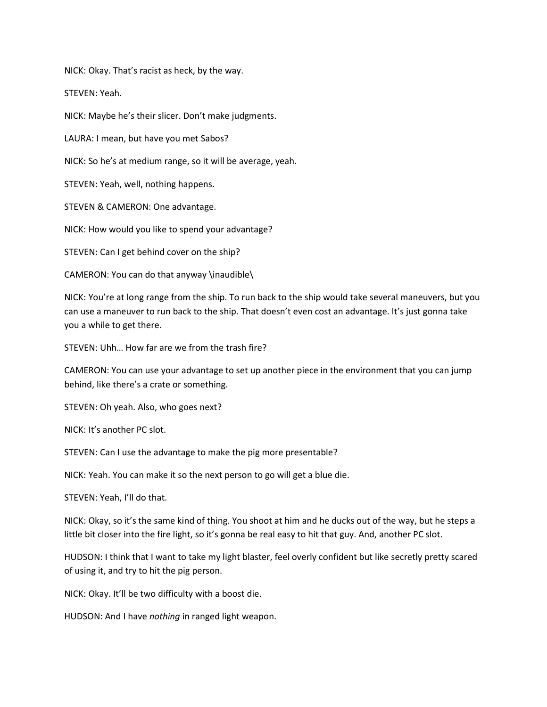NICK: Okay. That's racist as heck, by the way.

STEVEN: Yeah.

NICK: Maybe he's their slicer. Don't make judgments.

LAURA: I mean, but have you met Sabos?

NICK: So he's at medium range, so it will be average, yeah.

STEVEN: Yeah, well, nothing happens.

STEVEN & CAMERON: One advantage.

NICK: How would you like to spend your advantage?

STEVEN: Can I get behind cover on the ship?

CAMERON: You can do that anyway \inaudible\

NICK: You're at long range from the ship. To run back to the ship would take several maneuvers, but you can use a maneuver to run back to the ship. That doesn't even cost an advantage. It's just gonna take you a while to get there.

STEVEN: Uhh… How far are we from the trash fire?

CAMERON: You can use your advantage to set up another piece in the environment that you can jump behind, like there's a crate or something.

STEVEN: Oh yeah. Also, who goes next?

NICK: It's another PC slot.

STEVEN: Can I use the advantage to make the pig more presentable?

NICK: Yeah. You can make it so the next person to go will get a blue die.

STEVEN: Yeah, I'll do that.

NICK: Okay, so it's the same kind of thing. You shoot at him and he ducks out of the way, but he steps a little bit closer into the fire light, so it's gonna be real easy to hit that guy. And, another PC slot.

HUDSON: I think that I want to take my light blaster, feel overly confident but like secretly pretty scared of using it, and try to hit the pig person.

NICK: Okay. It'll be two difficulty with a boost die.

HUDSON: And I have nothing in ranged light weapon.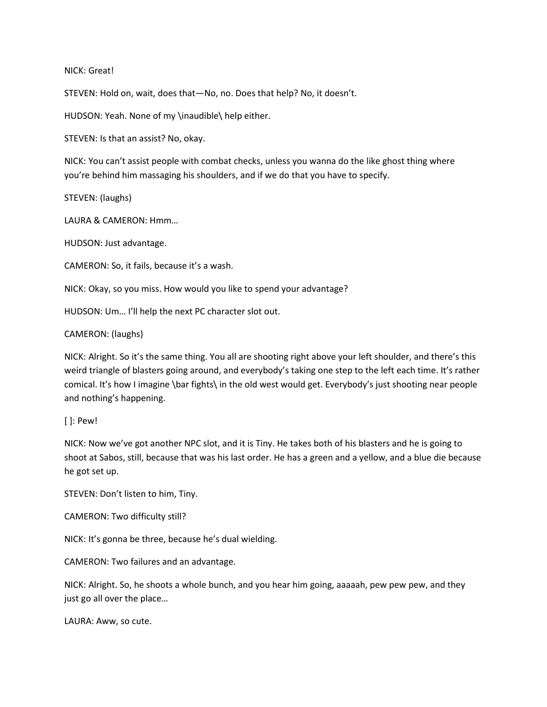### NICK: Great!

STEVEN: Hold on, wait, does that—No, no. Does that help? No, it doesn't.

HUDSON: Yeah. None of my \inaudible\ help either.

STEVEN: Is that an assist? No, okay.

NICK: You can't assist people with combat checks, unless you wanna do the like ghost thing where you're behind him massaging his shoulders, and if we do that you have to specify.

STEVEN: (laughs)

LAURA & CAMERON: Hmm…

HUDSON: Just advantage.

CAMERON: So, it fails, because it's a wash.

NICK: Okay, so you miss. How would you like to spend your advantage?

HUDSON: Um… I'll help the next PC character slot out.

CAMERON: (laughs)

NICK: Alright. So it's the same thing. You all are shooting right above your left shoulder, and there's this weird triangle of blasters going around, and everybody's taking one step to the left each time. It's rather comical. It's how I imagine \bar fights\ in the old west would get. Everybody's just shooting near people and nothing's happening.

[ ]: Pew!

NICK: Now we've got another NPC slot, and it is Tiny. He takes both of his blasters and he is going to shoot at Sabos, still, because that was his last order. He has a green and a yellow, and a blue die because he got set up.

STEVEN: Don't listen to him, Tiny.

CAMERON: Two difficulty still?

NICK: It's gonna be three, because he's dual wielding.

CAMERON: Two failures and an advantage.

NICK: Alright. So, he shoots a whole bunch, and you hear him going, aaaaah, pew pew pew, and they just go all over the place…

LAURA: Aww, so cute.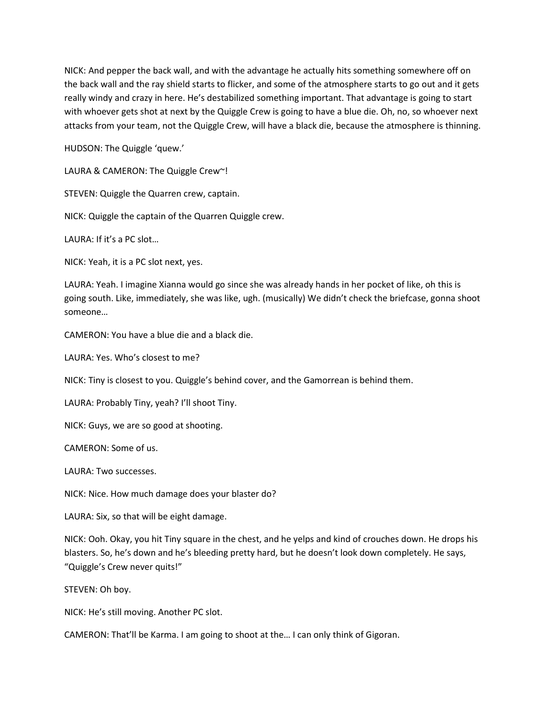NICK: And pepper the back wall, and with the advantage he actually hits something somewhere off on the back wall and the ray shield starts to flicker, and some of the atmosphere starts to go out and it gets really windy and crazy in here. He's destabilized something important. That advantage is going to start with whoever gets shot at next by the Quiggle Crew is going to have a blue die. Oh, no, so whoever next attacks from your team, not the Quiggle Crew, will have a black die, because the atmosphere is thinning.

HUDSON: The Quiggle 'quew.'

LAURA & CAMERON: The Quiggle Crew~!

STEVEN: Quiggle the Quarren crew, captain.

NICK: Quiggle the captain of the Quarren Quiggle crew.

LAURA: If it's a PC slot…

NICK: Yeah, it is a PC slot next, yes.

LAURA: Yeah. I imagine Xianna would go since she was already hands in her pocket of like, oh this is going south. Like, immediately, she was like, ugh. (musically) We didn't check the briefcase, gonna shoot someone…

CAMERON: You have a blue die and a black die.

LAURA: Yes. Who's closest to me?

NICK: Tiny is closest to you. Quiggle's behind cover, and the Gamorrean is behind them.

LAURA: Probably Tiny, yeah? I'll shoot Tiny.

NICK: Guys, we are so good at shooting.

CAMERON: Some of us.

LAURA: Two successes.

NICK: Nice. How much damage does your blaster do?

LAURA: Six, so that will be eight damage.

NICK: Ooh. Okay, you hit Tiny square in the chest, and he yelps and kind of crouches down. He drops his blasters. So, he's down and he's bleeding pretty hard, but he doesn't look down completely. He says, "Quiggle's Crew never quits!"

STEVEN: Oh boy.

NICK: He's still moving. Another PC slot.

CAMERON: That'll be Karma. I am going to shoot at the… I can only think of Gigoran.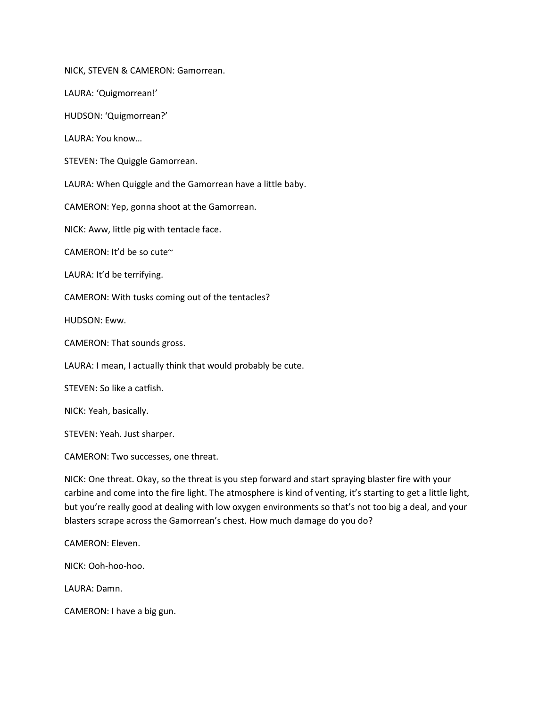NICK, STEVEN & CAMERON: Gamorrean.

LAURA: 'Quigmorrean!'

HUDSON: 'Quigmorrean?'

LAURA: You know…

STEVEN: The Quiggle Gamorrean.

LAURA: When Quiggle and the Gamorrean have a little baby.

CAMERON: Yep, gonna shoot at the Gamorrean.

NICK: Aww, little pig with tentacle face.

CAMERON: It'd be so cute~

LAURA: It'd be terrifying.

CAMERON: With tusks coming out of the tentacles?

HUDSON: Eww.

CAMERON: That sounds gross.

LAURA: I mean, I actually think that would probably be cute.

STEVEN: So like a catfish.

NICK: Yeah, basically.

STEVEN: Yeah. Just sharper.

CAMERON: Two successes, one threat.

NICK: One threat. Okay, so the threat is you step forward and start spraying blaster fire with your carbine and come into the fire light. The atmosphere is kind of venting, it's starting to get a little light, but you're really good at dealing with low oxygen environments so that's not too big a deal, and your blasters scrape across the Gamorrean's chest. How much damage do you do?

CAMERON: Eleven.

NICK: Ooh-hoo-hoo.

LAURA: Damn.

CAMERON: I have a big gun.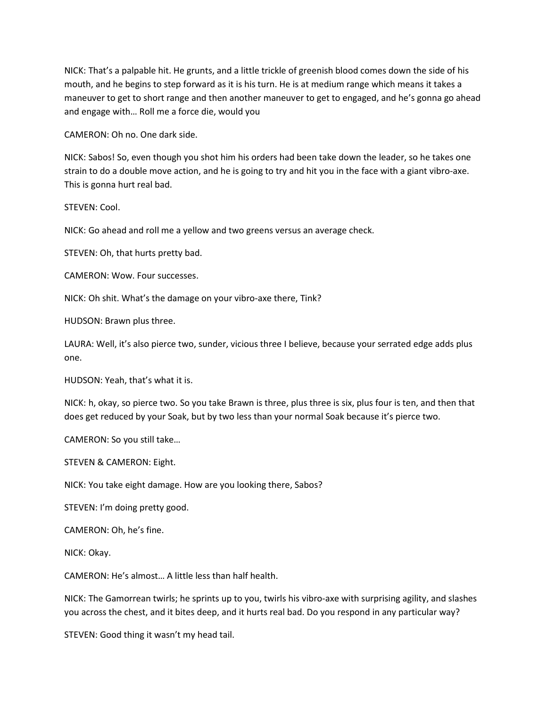NICK: That's a palpable hit. He grunts, and a little trickle of greenish blood comes down the side of his mouth, and he begins to step forward as it is his turn. He is at medium range which means it takes a maneuver to get to short range and then another maneuver to get to engaged, and he's gonna go ahead and engage with… Roll me a force die, would you

CAMERON: Oh no. One dark side.

NICK: Sabos! So, even though you shot him his orders had been take down the leader, so he takes one strain to do a double move action, and he is going to try and hit you in the face with a giant vibro-axe. This is gonna hurt real bad.

STEVEN: Cool.

NICK: Go ahead and roll me a yellow and two greens versus an average check.

STEVEN: Oh, that hurts pretty bad.

CAMERON: Wow. Four successes.

NICK: Oh shit. What's the damage on your vibro-axe there, Tink?

HUDSON: Brawn plus three.

LAURA: Well, it's also pierce two, sunder, vicious three I believe, because your serrated edge adds plus one.

HUDSON: Yeah, that's what it is.

NICK: h, okay, so pierce two. So you take Brawn is three, plus three is six, plus four is ten, and then that does get reduced by your Soak, but by two less than your normal Soak because it's pierce two.

CAMERON: So you still take…

STEVEN & CAMERON: Eight.

NICK: You take eight damage. How are you looking there, Sabos?

STEVEN: I'm doing pretty good.

CAMERON: Oh, he's fine.

NICK: Okay.

CAMERON: He's almost… A little less than half health.

NICK: The Gamorrean twirls; he sprints up to you, twirls his vibro-axe with surprising agility, and slashes you across the chest, and it bites deep, and it hurts real bad. Do you respond in any particular way?

STEVEN: Good thing it wasn't my head tail.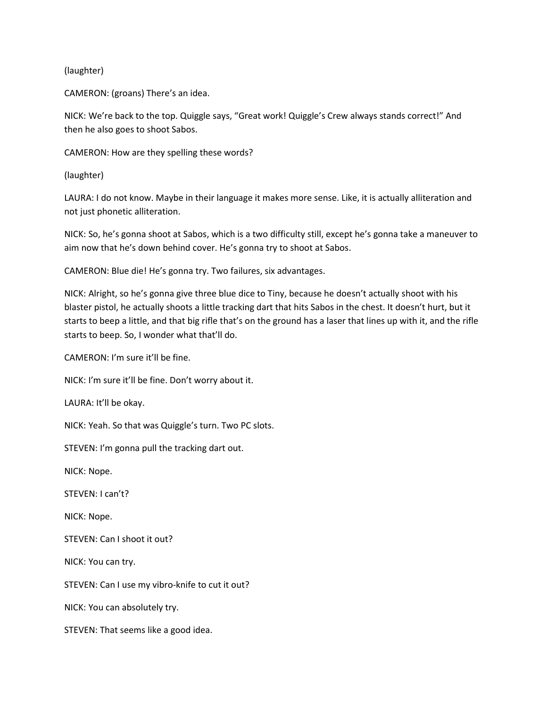# (laughter)

CAMERON: (groans) There's an idea.

NICK: We're back to the top. Quiggle says, "Great work! Quiggle's Crew always stands correct!" And then he also goes to shoot Sabos.

CAMERON: How are they spelling these words?

(laughter)

LAURA: I do not know. Maybe in their language it makes more sense. Like, it is actually alliteration and not just phonetic alliteration.

NICK: So, he's gonna shoot at Sabos, which is a two difficulty still, except he's gonna take a maneuver to aim now that he's down behind cover. He's gonna try to shoot at Sabos.

CAMERON: Blue die! He's gonna try. Two failures, six advantages.

NICK: Alright, so he's gonna give three blue dice to Tiny, because he doesn't actually shoot with his blaster pistol, he actually shoots a little tracking dart that hits Sabos in the chest. It doesn't hurt, but it starts to beep a little, and that big rifle that's on the ground has a laser that lines up with it, and the rifle starts to beep. So, I wonder what that'll do.

CAMERON: I'm sure it'll be fine.

NICK: I'm sure it'll be fine. Don't worry about it.

LAURA: It'll be okay.

NICK: Yeah. So that was Quiggle's turn. Two PC slots.

STEVEN: I'm gonna pull the tracking dart out.

NICK: Nope.

STEVEN: I can't?

NICK: Nope.

STEVEN: Can I shoot it out?

NICK: You can try.

STEVEN: Can I use my vibro-knife to cut it out?

NICK: You can absolutely try.

STEVEN: That seems like a good idea.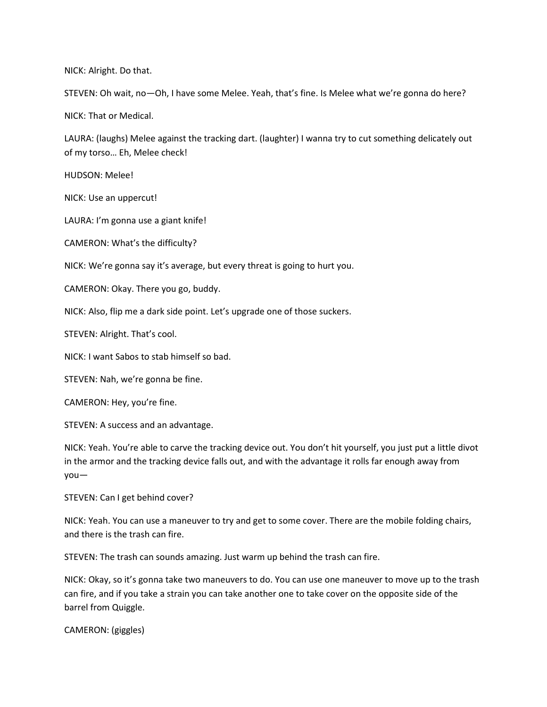NICK: Alright. Do that.

STEVEN: Oh wait, no—Oh, I have some Melee. Yeah, that's fine. Is Melee what we're gonna do here?

NICK: That or Medical.

LAURA: (laughs) Melee against the tracking dart. (laughter) I wanna try to cut something delicately out of my torso… Eh, Melee check!

HUDSON: Melee!

NICK: Use an uppercut!

LAURA: I'm gonna use a giant knife!

CAMERON: What's the difficulty?

NICK: We're gonna say it's average, but every threat is going to hurt you.

CAMERON: Okay. There you go, buddy.

NICK: Also, flip me a dark side point. Let's upgrade one of those suckers.

STEVEN: Alright. That's cool.

NICK: I want Sabos to stab himself so bad.

STEVEN: Nah, we're gonna be fine.

CAMERON: Hey, you're fine.

STEVEN: A success and an advantage.

NICK: Yeah. You're able to carve the tracking device out. You don't hit yourself, you just put a little divot in the armor and the tracking device falls out, and with the advantage it rolls far enough away from you—

STEVEN: Can I get behind cover?

NICK: Yeah. You can use a maneuver to try and get to some cover. There are the mobile folding chairs, and there is the trash can fire.

STEVEN: The trash can sounds amazing. Just warm up behind the trash can fire.

NICK: Okay, so it's gonna take two maneuvers to do. You can use one maneuver to move up to the trash can fire, and if you take a strain you can take another one to take cover on the opposite side of the barrel from Quiggle.

CAMERON: (giggles)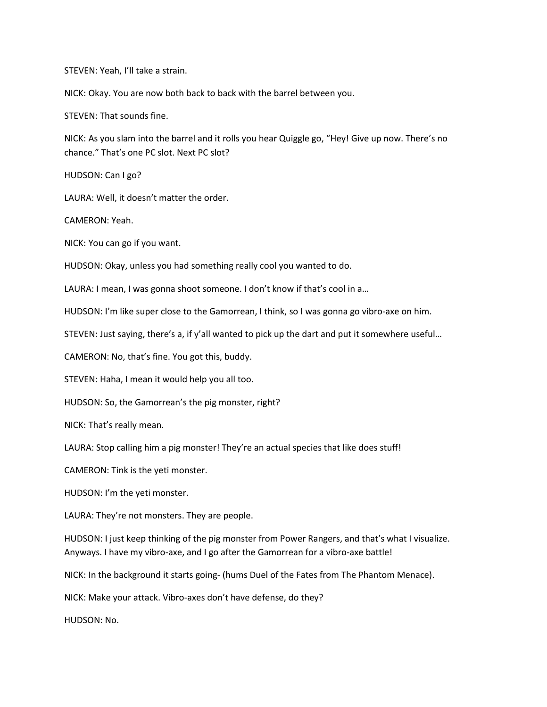STEVEN: Yeah, I'll take a strain.

NICK: Okay. You are now both back to back with the barrel between you.

STEVEN: That sounds fine.

NICK: As you slam into the barrel and it rolls you hear Quiggle go, "Hey! Give up now. There's no chance." That's one PC slot. Next PC slot?

HUDSON: Can I go?

LAURA: Well, it doesn't matter the order.

CAMERON: Yeah.

NICK: You can go if you want.

HUDSON: Okay, unless you had something really cool you wanted to do.

LAURA: I mean, I was gonna shoot someone. I don't know if that's cool in a...

HUDSON: I'm like super close to the Gamorrean, I think, so I was gonna go vibro-axe on him.

STEVEN: Just saying, there's a, if y'all wanted to pick up the dart and put it somewhere useful…

CAMERON: No, that's fine. You got this, buddy.

STEVEN: Haha, I mean it would help you all too.

HUDSON: So, the Gamorrean's the pig monster, right?

NICK: That's really mean.

LAURA: Stop calling him a pig monster! They're an actual species that like does stuff!

CAMERON: Tink is the yeti monster.

HUDSON: I'm the yeti monster.

LAURA: They're not monsters. They are people.

HUDSON: I just keep thinking of the pig monster from Power Rangers, and that's what I visualize. Anyways. I have my vibro-axe, and I go after the Gamorrean for a vibro-axe battle!

NICK: In the background it starts going- (hums Duel of the Fates from The Phantom Menace).

NICK: Make your attack. Vibro-axes don't have defense, do they?

HUDSON: No.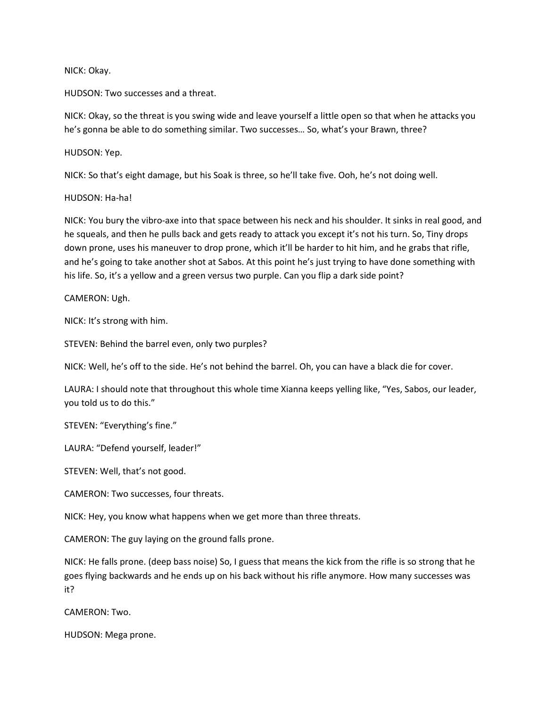### NICK: Okay.

HUDSON: Two successes and a threat.

NICK: Okay, so the threat is you swing wide and leave yourself a little open so that when he attacks you he's gonna be able to do something similar. Two successes… So, what's your Brawn, three?

## HUDSON: Yep.

NICK: So that's eight damage, but his Soak is three, so he'll take five. Ooh, he's not doing well.

## HUDSON: Ha-ha!

NICK: You bury the vibro-axe into that space between his neck and his shoulder. It sinks in real good, and he squeals, and then he pulls back and gets ready to attack you except it's not his turn. So, Tiny drops down prone, uses his maneuver to drop prone, which it'll be harder to hit him, and he grabs that rifle, and he's going to take another shot at Sabos. At this point he's just trying to have done something with his life. So, it's a yellow and a green versus two purple. Can you flip a dark side point?

CAMERON: Ugh.

NICK: It's strong with him.

STEVEN: Behind the barrel even, only two purples?

NICK: Well, he's off to the side. He's not behind the barrel. Oh, you can have a black die for cover.

LAURA: I should note that throughout this whole time Xianna keeps yelling like, "Yes, Sabos, our leader, you told us to do this."

STEVEN: "Everything's fine."

LAURA: "Defend yourself, leader!"

STEVEN: Well, that's not good.

CAMERON: Two successes, four threats.

NICK: Hey, you know what happens when we get more than three threats.

CAMERON: The guy laying on the ground falls prone.

NICK: He falls prone. (deep bass noise) So, I guess that means the kick from the rifle is so strong that he goes flying backwards and he ends up on his back without his rifle anymore. How many successes was it?

CAMERON: Two.

HUDSON: Mega prone.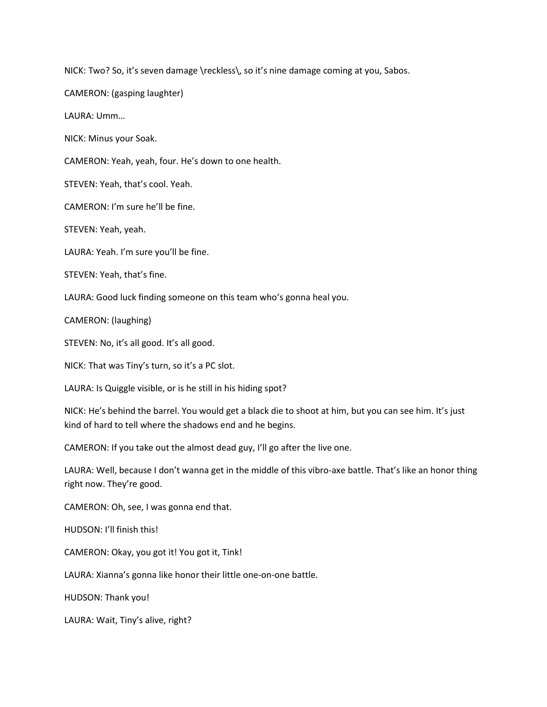NICK: Two? So, it's seven damage \reckless\, so it's nine damage coming at you, Sabos.

CAMERON: (gasping laughter)

LAURA: Umm…

NICK: Minus your Soak.

CAMERON: Yeah, yeah, four. He's down to one health.

STEVEN: Yeah, that's cool. Yeah.

CAMERON: I'm sure he'll be fine.

STEVEN: Yeah, yeah.

LAURA: Yeah. I'm sure you'll be fine.

STEVEN: Yeah, that's fine.

LAURA: Good luck finding someone on this team who's gonna heal you.

CAMERON: (laughing)

STEVEN: No, it's all good. It's all good.

NICK: That was Tiny's turn, so it's a PC slot.

LAURA: Is Quiggle visible, or is he still in his hiding spot?

NICK: He's behind the barrel. You would get a black die to shoot at him, but you can see him. It's just kind of hard to tell where the shadows end and he begins.

CAMERON: If you take out the almost dead guy, I'll go after the live one.

LAURA: Well, because I don't wanna get in the middle of this vibro-axe battle. That's like an honor thing right now. They're good.

CAMERON: Oh, see, I was gonna end that.

HUDSON: I'll finish this!

CAMERON: Okay, you got it! You got it, Tink!

LAURA: Xianna's gonna like honor their little one-on-one battle.

HUDSON: Thank you!

LAURA: Wait, Tiny's alive, right?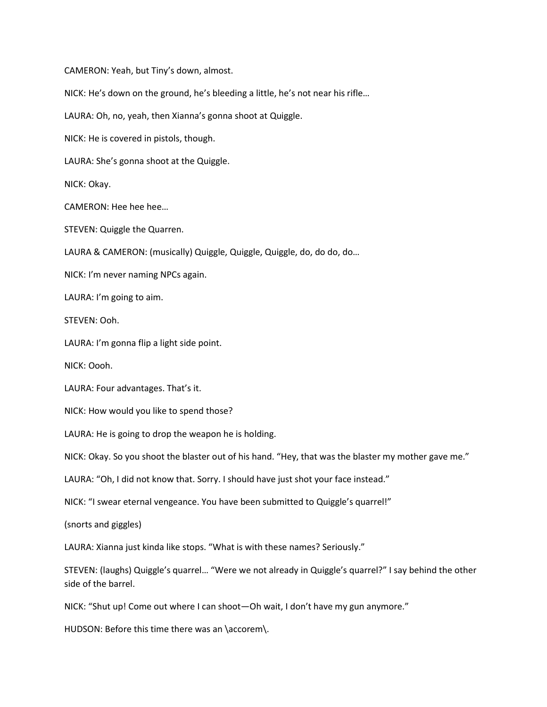CAMERON: Yeah, but Tiny's down, almost. NICK: He's down on the ground, he's bleeding a little, he's not near his rifle… LAURA: Oh, no, yeah, then Xianna's gonna shoot at Quiggle. NICK: He is covered in pistols, though. LAURA: She's gonna shoot at the Quiggle. NICK: Okay. CAMERON: Hee hee hee… STEVEN: Quiggle the Quarren. LAURA & CAMERON: (musically) Quiggle, Quiggle, Quiggle, do, do do, do… NICK: I'm never naming NPCs again. LAURA: I'm going to aim. STEVEN: Ooh. LAURA: I'm gonna flip a light side point. NICK: Oooh. LAURA: Four advantages. That's it. NICK: How would you like to spend those? LAURA: He is going to drop the weapon he is holding. NICK: Okay. So you shoot the blaster out of his hand. "Hey, that was the blaster my mother gave me." LAURA: "Oh, I did not know that. Sorry. I should have just shot your face instead." NICK: "I swear eternal vengeance. You have been submitted to Quiggle's quarrel!"

(snorts and giggles)

LAURA: Xianna just kinda like stops. "What is with these names? Seriously."

STEVEN: (laughs) Quiggle's quarrel… "Were we not already in Quiggle's quarrel?" I say behind the other side of the barrel.

NICK: "Shut up! Come out where I can shoot—Oh wait, I don't have my gun anymore."

HUDSON: Before this time there was an \accorem\.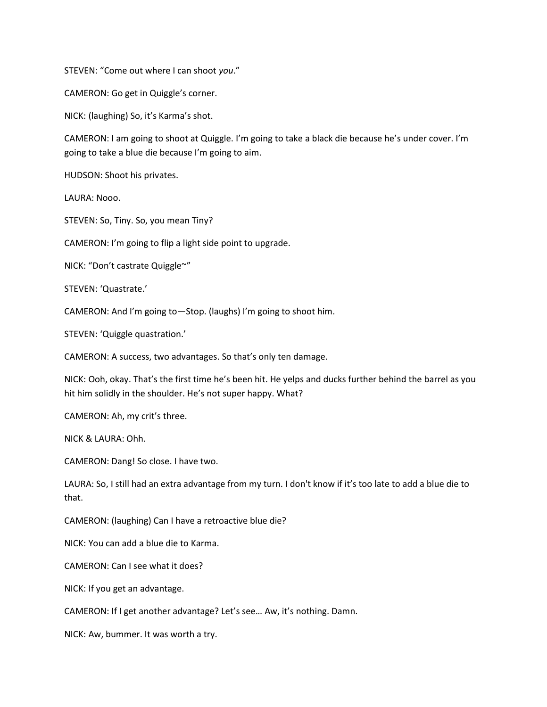STEVEN: "Come out where I can shoot you."

CAMERON: Go get in Quiggle's corner.

NICK: (laughing) So, it's Karma's shot.

CAMERON: I am going to shoot at Quiggle. I'm going to take a black die because he's under cover. I'm going to take a blue die because I'm going to aim.

HUDSON: Shoot his privates.

LAURA: Nooo.

STEVEN: So, Tiny. So, you mean Tiny?

CAMERON: I'm going to flip a light side point to upgrade.

NICK: "Don't castrate Quiggle~"

STEVEN: 'Quastrate.'

CAMERON: And I'm going to—Stop. (laughs) I'm going to shoot him.

STEVEN: 'Quiggle quastration.'

CAMERON: A success, two advantages. So that's only ten damage.

NICK: Ooh, okay. That's the first time he's been hit. He yelps and ducks further behind the barrel as you hit him solidly in the shoulder. He's not super happy. What?

CAMERON: Ah, my crit's three.

NICK & LAURA: Ohh.

CAMERON: Dang! So close. I have two.

LAURA: So, I still had an extra advantage from my turn. I don't know if it's too late to add a blue die to that.

CAMERON: (laughing) Can I have a retroactive blue die?

NICK: You can add a blue die to Karma.

CAMERON: Can I see what it does?

NICK: If you get an advantage.

CAMERON: If I get another advantage? Let's see… Aw, it's nothing. Damn.

NICK: Aw, bummer. It was worth a try.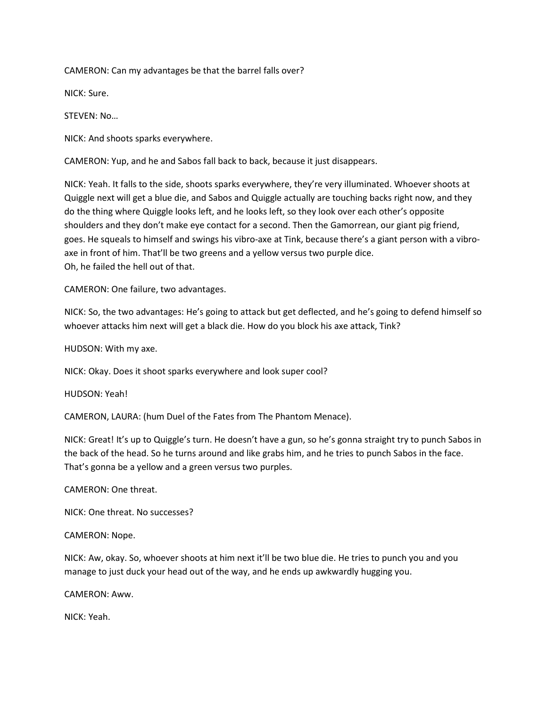CAMERON: Can my advantages be that the barrel falls over?

NICK: Sure.

STEVEN: No…

NICK: And shoots sparks everywhere.

CAMERON: Yup, and he and Sabos fall back to back, because it just disappears.

NICK: Yeah. It falls to the side, shoots sparks everywhere, they're very illuminated. Whoever shoots at Quiggle next will get a blue die, and Sabos and Quiggle actually are touching backs right now, and they do the thing where Quiggle looks left, and he looks left, so they look over each other's opposite shoulders and they don't make eye contact for a second. Then the Gamorrean, our giant pig friend, goes. He squeals to himself and swings his vibro-axe at Tink, because there's a giant person with a vibroaxe in front of him. That'll be two greens and a yellow versus two purple dice. Oh, he failed the hell out of that.

CAMERON: One failure, two advantages.

NICK: So, the two advantages: He's going to attack but get deflected, and he's going to defend himself so whoever attacks him next will get a black die. How do you block his axe attack, Tink?

HUDSON: With my axe.

NICK: Okay. Does it shoot sparks everywhere and look super cool?

HUDSON: Yeah!

CAMERON, LAURA: (hum Duel of the Fates from The Phantom Menace).

NICK: Great! It's up to Quiggle's turn. He doesn't have a gun, so he's gonna straight try to punch Sabos in the back of the head. So he turns around and like grabs him, and he tries to punch Sabos in the face. That's gonna be a yellow and a green versus two purples.

CAMERON: One threat.

NICK: One threat. No successes?

CAMERON: Nope.

NICK: Aw, okay. So, whoever shoots at him next it'll be two blue die. He tries to punch you and you manage to just duck your head out of the way, and he ends up awkwardly hugging you.

CAMERON: Aww.

NICK: Yeah.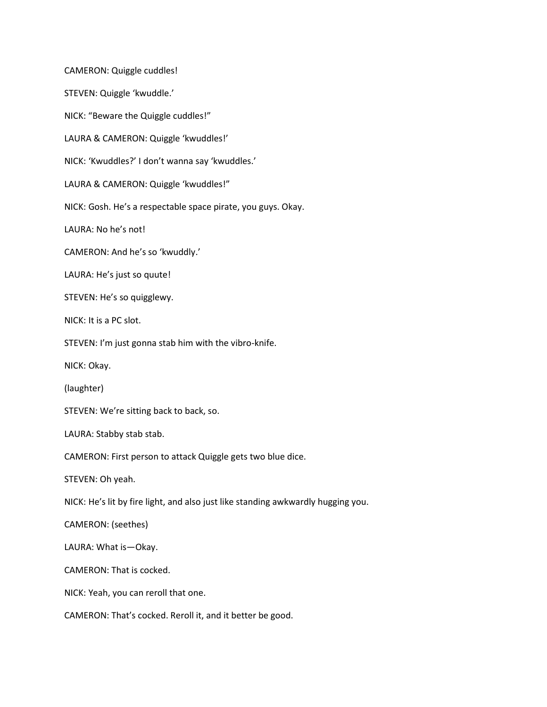CAMERON: Quiggle cuddles! STEVEN: Quiggle 'kwuddle.' NICK: "Beware the Quiggle cuddles!" LAURA & CAMERON: Quiggle 'kwuddles!' NICK: 'Kwuddles?' I don't wanna say 'kwuddles.' LAURA & CAMERON: Quiggle 'kwuddles!" NICK: Gosh. He's a respectable space pirate, you guys. Okay. LAURA: No he's not! CAMERON: And he's so 'kwuddly.' LAURA: He's just so quute! STEVEN: He's so quigglewy. NICK: It is a PC slot. STEVEN: I'm just gonna stab him with the vibro-knife. NICK: Okay. (laughter) STEVEN: We're sitting back to back, so. LAURA: Stabby stab stab. CAMERON: First person to attack Quiggle gets two blue dice. STEVEN: Oh yeah. NICK: He's lit by fire light, and also just like standing awkwardly hugging you. CAMERON: (seethes) LAURA: What is—Okay. CAMERON: That is cocked. NICK: Yeah, you can reroll that one. CAMERON: That's cocked. Reroll it, and it better be good.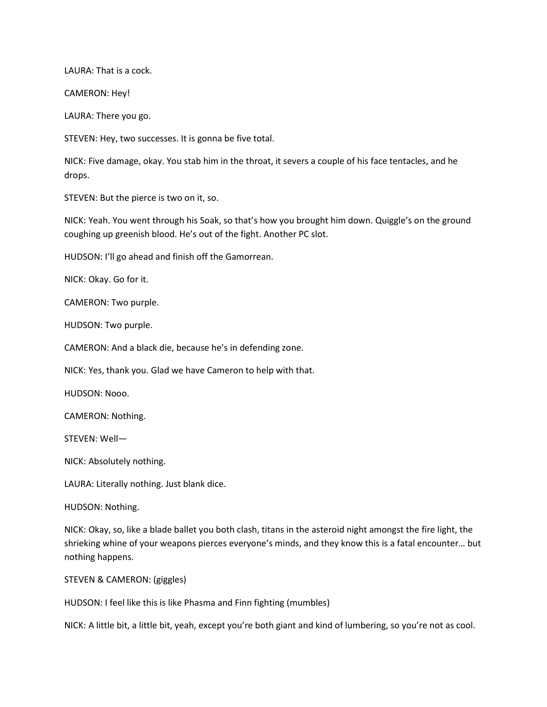LAURA: That is a cock.

CAMERON: Hey!

LAURA: There you go.

STEVEN: Hey, two successes. It is gonna be five total.

NICK: Five damage, okay. You stab him in the throat, it severs a couple of his face tentacles, and he drops.

STEVEN: But the pierce is two on it, so.

NICK: Yeah. You went through his Soak, so that's how you brought him down. Quiggle's on the ground coughing up greenish blood. He's out of the fight. Another PC slot.

HUDSON: I'll go ahead and finish off the Gamorrean.

NICK: Okay. Go for it.

CAMERON: Two purple.

HUDSON: Two purple.

CAMERON: And a black die, because he's in defending zone.

NICK: Yes, thank you. Glad we have Cameron to help with that.

HUDSON: Nooo.

CAMERON: Nothing.

STEVEN: Well—

NICK: Absolutely nothing.

LAURA: Literally nothing. Just blank dice.

HUDSON: Nothing.

NICK: Okay, so, like a blade ballet you both clash, titans in the asteroid night amongst the fire light, the shrieking whine of your weapons pierces everyone's minds, and they know this is a fatal encounter… but nothing happens.

STEVEN & CAMERON: (giggles)

HUDSON: I feel like this is like Phasma and Finn fighting (mumbles)

NICK: A little bit, a little bit, yeah, except you're both giant and kind of lumbering, so you're not as cool.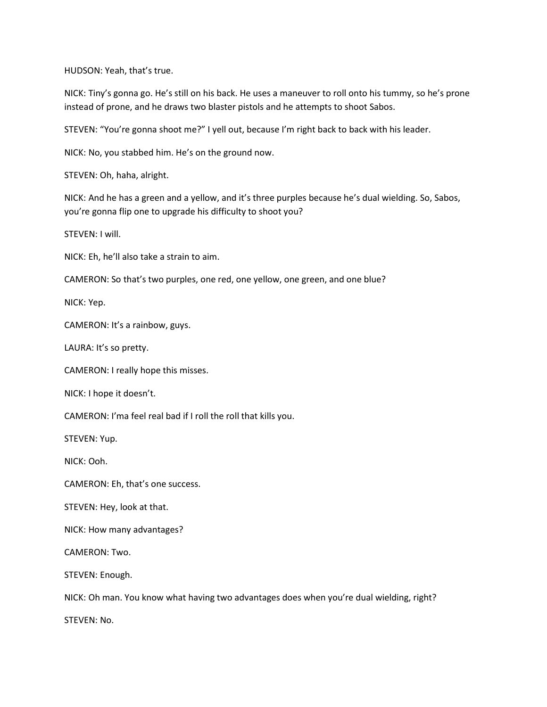HUDSON: Yeah, that's true.

NICK: Tiny's gonna go. He's still on his back. He uses a maneuver to roll onto his tummy, so he's prone instead of prone, and he draws two blaster pistols and he attempts to shoot Sabos.

STEVEN: "You're gonna shoot me?" I yell out, because I'm right back to back with his leader.

NICK: No, you stabbed him. He's on the ground now.

STEVEN: Oh, haha, alright.

NICK: And he has a green and a yellow, and it's three purples because he's dual wielding. So, Sabos, you're gonna flip one to upgrade his difficulty to shoot you?

STEVEN: I will.

NICK: Eh, he'll also take a strain to aim.

CAMERON: So that's two purples, one red, one yellow, one green, and one blue?

NICK: Yep.

CAMERON: It's a rainbow, guys.

LAURA: It's so pretty.

CAMERON: I really hope this misses.

NICK: I hope it doesn't.

CAMERON: I'ma feel real bad if I roll the roll that kills you.

STEVEN: Yup.

NICK: Ooh.

CAMERON: Eh, that's one success.

STEVEN: Hey, look at that.

NICK: How many advantages?

CAMERON: Two.

STEVEN: Enough.

NICK: Oh man. You know what having two advantages does when you're dual wielding, right?

STEVEN: No.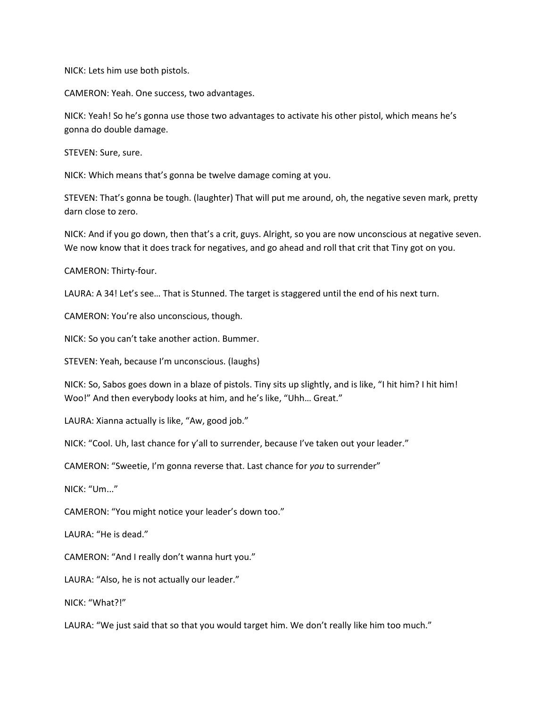NICK: Lets him use both pistols.

CAMERON: Yeah. One success, two advantages.

NICK: Yeah! So he's gonna use those two advantages to activate his other pistol, which means he's gonna do double damage.

STEVEN: Sure, sure.

NICK: Which means that's gonna be twelve damage coming at you.

STEVEN: That's gonna be tough. (laughter) That will put me around, oh, the negative seven mark, pretty darn close to zero.

NICK: And if you go down, then that's a crit, guys. Alright, so you are now unconscious at negative seven. We now know that it does track for negatives, and go ahead and roll that crit that Tiny got on you.

CAMERON: Thirty-four.

LAURA: A 34! Let's see… That is Stunned. The target is staggered until the end of his next turn.

CAMERON: You're also unconscious, though.

NICK: So you can't take another action. Bummer.

STEVEN: Yeah, because I'm unconscious. (laughs)

NICK: So, Sabos goes down in a blaze of pistols. Tiny sits up slightly, and is like, "I hit him? I hit him! Woo!" And then everybody looks at him, and he's like, "Uhh… Great."

LAURA: Xianna actually is like, "Aw, good job."

NICK: "Cool. Uh, last chance for y'all to surrender, because I've taken out your leader."

CAMERON: "Sweetie, I'm gonna reverse that. Last chance for you to surrender"

NICK: "Um..."

CAMERON: "You might notice your leader's down too."

LAURA: "He is dead."

CAMERON: "And I really don't wanna hurt you."

LAURA: "Also, he is not actually our leader."

NICK: "What?!"

LAURA: "We just said that so that you would target him. We don't really like him too much."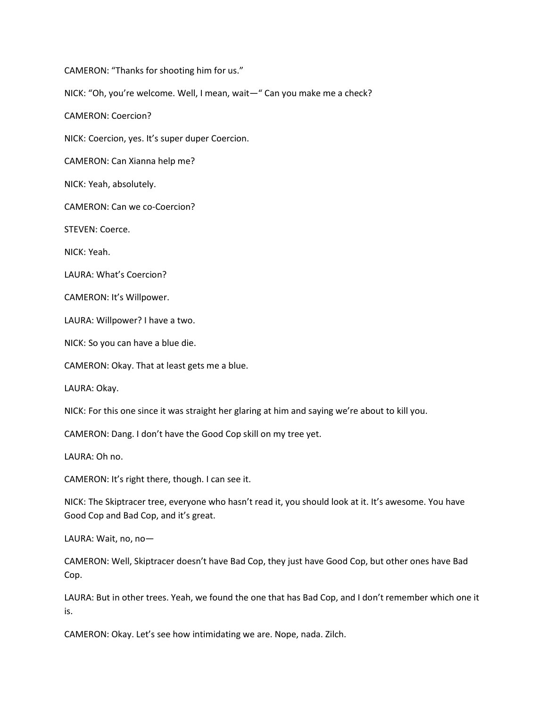CAMERON: "Thanks for shooting him for us."

NICK: "Oh, you're welcome. Well, I mean, wait—" Can you make me a check?

CAMERON: Coercion?

NICK: Coercion, yes. It's super duper Coercion.

CAMERON: Can Xianna help me?

NICK: Yeah, absolutely.

CAMERON: Can we co-Coercion?

STEVEN: Coerce.

NICK: Yeah.

LAURA: What's Coercion?

CAMERON: It's Willpower.

LAURA: Willpower? I have a two.

NICK: So you can have a blue die.

CAMERON: Okay. That at least gets me a blue.

LAURA: Okay.

NICK: For this one since it was straight her glaring at him and saying we're about to kill you.

CAMERON: Dang. I don't have the Good Cop skill on my tree yet.

LAURA: Oh no.

CAMERON: It's right there, though. I can see it.

NICK: The Skiptracer tree, everyone who hasn't read it, you should look at it. It's awesome. You have Good Cop and Bad Cop, and it's great.

LAURA: Wait, no, no—

CAMERON: Well, Skiptracer doesn't have Bad Cop, they just have Good Cop, but other ones have Bad Cop.

LAURA: But in other trees. Yeah, we found the one that has Bad Cop, and I don't remember which one it is.

CAMERON: Okay. Let's see how intimidating we are. Nope, nada. Zilch.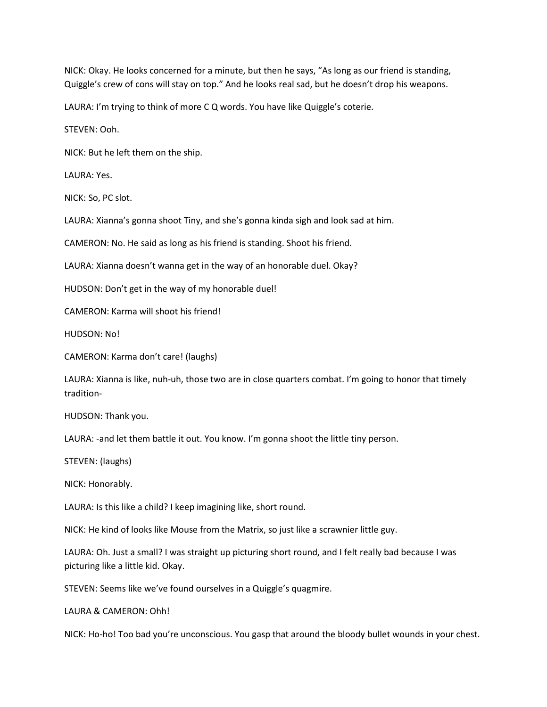NICK: Okay. He looks concerned for a minute, but then he says, "As long as our friend is standing, Quiggle's crew of cons will stay on top." And he looks real sad, but he doesn't drop his weapons.

LAURA: I'm trying to think of more C Q words. You have like Quiggle's coterie.

STEVEN: Ooh.

NICK: But he left them on the ship.

LAURA: Yes.

NICK: So, PC slot.

LAURA: Xianna's gonna shoot Tiny, and she's gonna kinda sigh and look sad at him.

CAMERON: No. He said as long as his friend is standing. Shoot his friend.

LAURA: Xianna doesn't wanna get in the way of an honorable duel. Okay?

HUDSON: Don't get in the way of my honorable duel!

CAMERON: Karma will shoot his friend!

HUDSON: No!

CAMERON: Karma don't care! (laughs)

LAURA: Xianna is like, nuh-uh, those two are in close quarters combat. I'm going to honor that timely tradition-

HUDSON: Thank you.

LAURA: -and let them battle it out. You know. I'm gonna shoot the little tiny person.

STEVEN: (laughs)

NICK: Honorably.

LAURA: Is this like a child? I keep imagining like, short round.

NICK: He kind of looks like Mouse from the Matrix, so just like a scrawnier little guy.

LAURA: Oh. Just a small? I was straight up picturing short round, and I felt really bad because I was picturing like a little kid. Okay.

STEVEN: Seems like we've found ourselves in a Quiggle's quagmire.

LAURA & CAMERON: Ohh!

NICK: Ho-ho! Too bad you're unconscious. You gasp that around the bloody bullet wounds in your chest.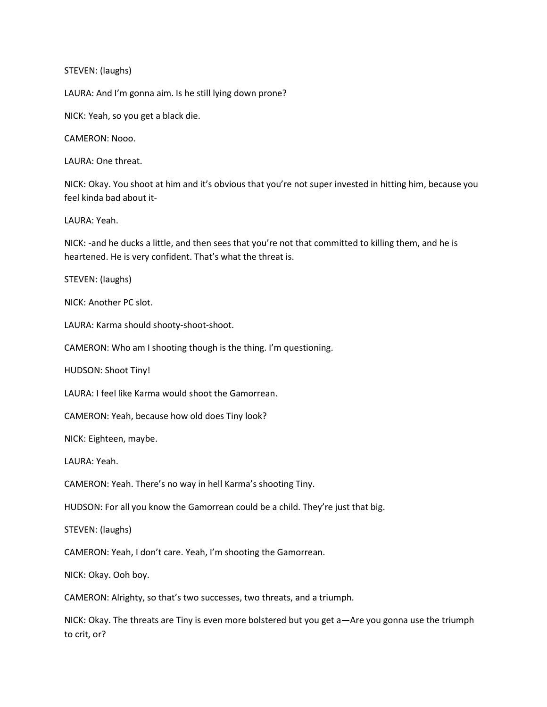STEVEN: (laughs)

LAURA: And I'm gonna aim. Is he still lying down prone?

NICK: Yeah, so you get a black die.

CAMERON: Nooo.

LAURA: One threat.

NICK: Okay. You shoot at him and it's obvious that you're not super invested in hitting him, because you feel kinda bad about it-

LAURA: Yeah.

NICK: -and he ducks a little, and then sees that you're not that committed to killing them, and he is heartened. He is very confident. That's what the threat is.

STEVEN: (laughs)

NICK: Another PC slot.

LAURA: Karma should shooty-shoot-shoot.

CAMERON: Who am I shooting though is the thing. I'm questioning.

HUDSON: Shoot Tiny!

LAURA: I feel like Karma would shoot the Gamorrean.

CAMERON: Yeah, because how old does Tiny look?

NICK: Eighteen, maybe.

LAURA: Yeah.

CAMERON: Yeah. There's no way in hell Karma's shooting Tiny.

HUDSON: For all you know the Gamorrean could be a child. They're just that big.

STEVEN: (laughs)

CAMERON: Yeah, I don't care. Yeah, I'm shooting the Gamorrean.

NICK: Okay. Ooh boy.

CAMERON: Alrighty, so that's two successes, two threats, and a triumph.

NICK: Okay. The threats are Tiny is even more bolstered but you get a—Are you gonna use the triumph to crit, or?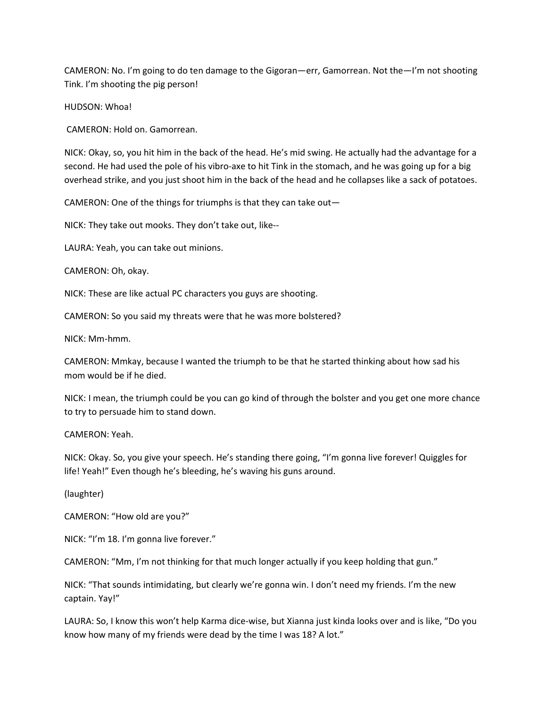CAMERON: No. I'm going to do ten damage to the Gigoran—err, Gamorrean. Not the—I'm not shooting Tink. I'm shooting the pig person!

HUDSON: Whoa!

CAMERON: Hold on. Gamorrean.

NICK: Okay, so, you hit him in the back of the head. He's mid swing. He actually had the advantage for a second. He had used the pole of his vibro-axe to hit Tink in the stomach, and he was going up for a big overhead strike, and you just shoot him in the back of the head and he collapses like a sack of potatoes.

CAMERON: One of the things for triumphs is that they can take out—

NICK: They take out mooks. They don't take out, like--

LAURA: Yeah, you can take out minions.

CAMERON: Oh, okay.

NICK: These are like actual PC characters you guys are shooting.

CAMERON: So you said my threats were that he was more bolstered?

NICK: Mm-hmm.

CAMERON: Mmkay, because I wanted the triumph to be that he started thinking about how sad his mom would be if he died.

NICK: I mean, the triumph could be you can go kind of through the bolster and you get one more chance to try to persuade him to stand down.

CAMERON: Yeah.

NICK: Okay. So, you give your speech. He's standing there going, "I'm gonna live forever! Quiggles for life! Yeah!" Even though he's bleeding, he's waving his guns around.

(laughter)

CAMERON: "How old are you?"

NICK: "I'm 18. I'm gonna live forever."

CAMERON: "Mm, I'm not thinking for that much longer actually if you keep holding that gun."

NICK: "That sounds intimidating, but clearly we're gonna win. I don't need my friends. I'm the new captain. Yay!"

LAURA: So, I know this won't help Karma dice-wise, but Xianna just kinda looks over and is like, "Do you know how many of my friends were dead by the time I was 18? A lot."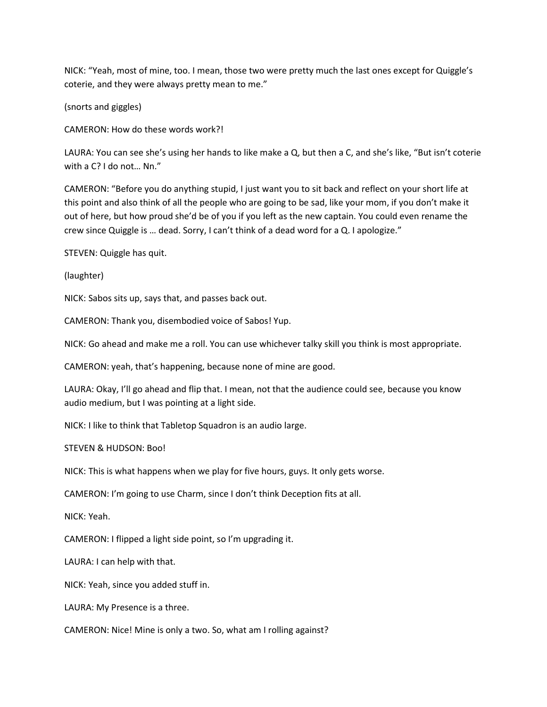NICK: "Yeah, most of mine, too. I mean, those two were pretty much the last ones except for Quiggle's coterie, and they were always pretty mean to me."

(snorts and giggles)

CAMERON: How do these words work?!

LAURA: You can see she's using her hands to like make a Q, but then a C, and she's like, "But isn't coterie with a C? I do not… Nn."

CAMERON: "Before you do anything stupid, I just want you to sit back and reflect on your short life at this point and also think of all the people who are going to be sad, like your mom, if you don't make it out of here, but how proud she'd be of you if you left as the new captain. You could even rename the crew since Quiggle is … dead. Sorry, I can't think of a dead word for a Q. I apologize."

STEVEN: Quiggle has quit.

(laughter)

NICK: Sabos sits up, says that, and passes back out.

CAMERON: Thank you, disembodied voice of Sabos! Yup.

NICK: Go ahead and make me a roll. You can use whichever talky skill you think is most appropriate.

CAMERON: yeah, that's happening, because none of mine are good.

LAURA: Okay, I'll go ahead and flip that. I mean, not that the audience could see, because you know audio medium, but I was pointing at a light side.

NICK: I like to think that Tabletop Squadron is an audio large.

STEVEN & HUDSON: Boo!

NICK: This is what happens when we play for five hours, guys. It only gets worse.

CAMERON: I'm going to use Charm, since I don't think Deception fits at all.

NICK: Yeah.

CAMERON: I flipped a light side point, so I'm upgrading it.

LAURA: I can help with that.

NICK: Yeah, since you added stuff in.

LAURA: My Presence is a three.

CAMERON: Nice! Mine is only a two. So, what am I rolling against?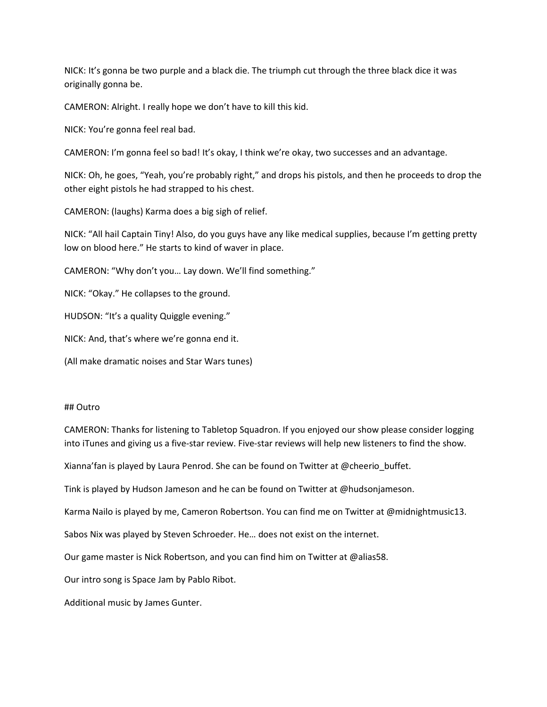NICK: It's gonna be two purple and a black die. The triumph cut through the three black dice it was originally gonna be.

CAMERON: Alright. I really hope we don't have to kill this kid.

NICK: You're gonna feel real bad.

CAMERON: I'm gonna feel so bad! It's okay, I think we're okay, two successes and an advantage.

NICK: Oh, he goes, "Yeah, you're probably right," and drops his pistols, and then he proceeds to drop the other eight pistols he had strapped to his chest.

CAMERON: (laughs) Karma does a big sigh of relief.

NICK: "All hail Captain Tiny! Also, do you guys have any like medical supplies, because I'm getting pretty low on blood here." He starts to kind of waver in place.

CAMERON: "Why don't you… Lay down. We'll find something."

NICK: "Okay." He collapses to the ground.

HUDSON: "It's a quality Quiggle evening."

NICK: And, that's where we're gonna end it.

(All make dramatic noises and Star Wars tunes)

### ## Outro

CAMERON: Thanks for listening to Tabletop Squadron. If you enjoyed our show please consider logging into iTunes and giving us a five-star review. Five-star reviews will help new listeners to find the show.

Xianna'fan is played by Laura Penrod. She can be found on Twitter at @cheerio\_buffet.

Tink is played by Hudson Jameson and he can be found on Twitter at @hudsonjameson.

Karma Nailo is played by me, Cameron Robertson. You can find me on Twitter at @midnightmusic13.

Sabos Nix was played by Steven Schroeder. He… does not exist on the internet.

Our game master is Nick Robertson, and you can find him on Twitter at @alias58.

Our intro song is Space Jam by Pablo Ribot.

Additional music by James Gunter.